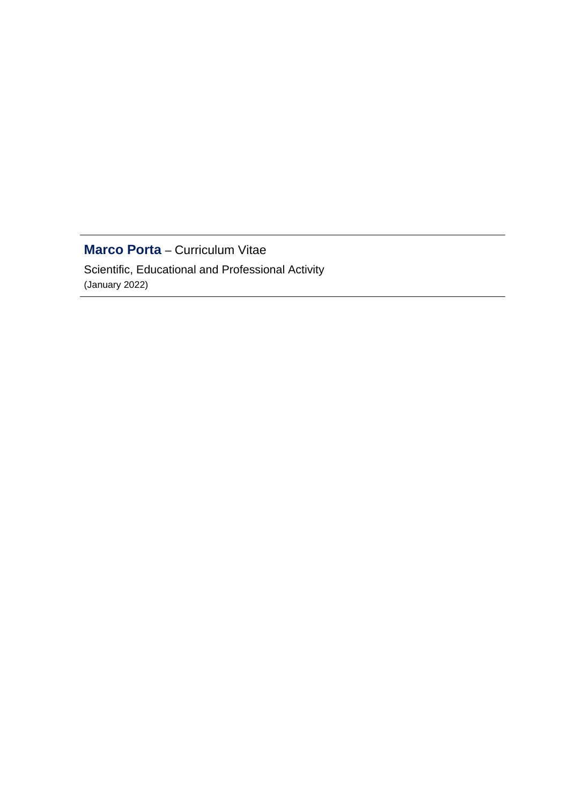# **Marco Porta** – Curriculum Vitae

Scientific, Educational and Professional Activity (January 2022)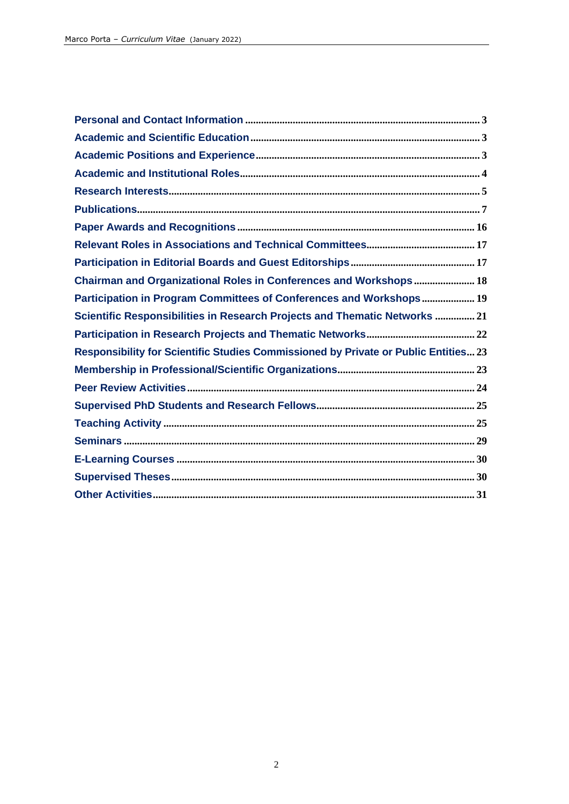| Chairman and Organizational Roles in Conferences and Workshops 18                   |
|-------------------------------------------------------------------------------------|
| Participation in Program Committees of Conferences and Workshops 19                 |
| Scientific Responsibilities in Research Projects and Thematic Networks  21          |
|                                                                                     |
| Responsibility for Scientific Studies Commissioned by Private or Public Entities 23 |
|                                                                                     |
|                                                                                     |
|                                                                                     |
|                                                                                     |
|                                                                                     |
|                                                                                     |
|                                                                                     |
|                                                                                     |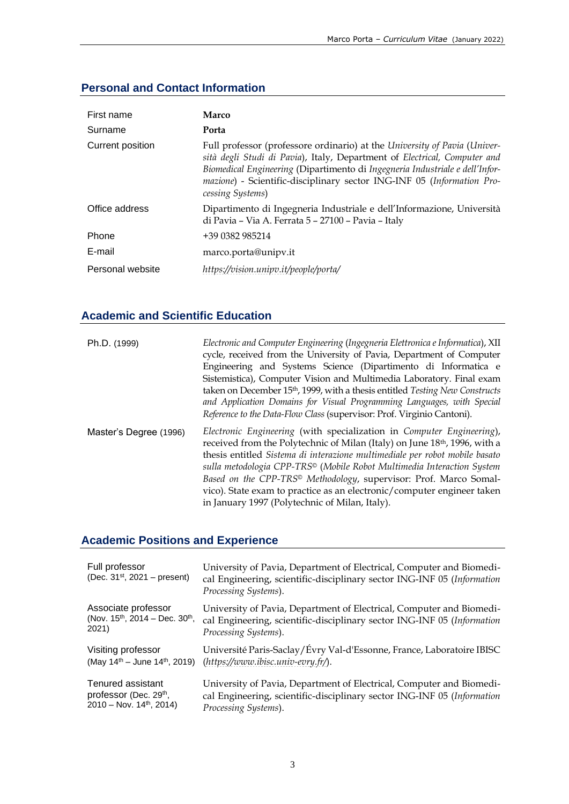# **Personal and Contact Information**

| First name       | Marco                                                                                                                                                                                                                                                                                                                                |
|------------------|--------------------------------------------------------------------------------------------------------------------------------------------------------------------------------------------------------------------------------------------------------------------------------------------------------------------------------------|
| Surname          | Porta                                                                                                                                                                                                                                                                                                                                |
| Current position | Full professor (professore ordinario) at the University of Pavia (Univer-<br>sità degli Studi di Pavia), Italy, Department of Electrical, Computer and<br>Biomedical Engineering (Dipartimento di Ingegneria Industriale e dell'Infor-<br>mazione) - Scientific-disciplinary sector ING-INF 05 (Information Pro-<br>cessing Systems) |
| Office address   | Dipartimento di Ingegneria Industriale e dell'Informazione, Università<br>di Pavia - Via A. Ferrata 5 - 27100 - Pavia - Italy                                                                                                                                                                                                        |
| Phone            | +39 0382 985214                                                                                                                                                                                                                                                                                                                      |
| E-mail           | marco.porta@unipv.it                                                                                                                                                                                                                                                                                                                 |
| Personal website | https://vision.unipv.it/people/porta/                                                                                                                                                                                                                                                                                                |

# **Academic and Scientific Education**

| Ph.D. (1999)           | Electronic and Computer Engineering (Ingegneria Elettronica e Informatica), XII<br>cycle, received from the University of Pavia, Department of Computer<br>Engineering and Systems Science (Dipartimento di Informatica e<br>Sistemistica), Computer Vision and Multimedia Laboratory. Final exam<br>taken on December 15th, 1999, with a thesis entitled Testing New Constructs<br>and Application Domains for Visual Programming Languages, with Special<br>Reference to the Data-Flow Class (supervisor: Prof. Virginio Cantoni).              |
|------------------------|---------------------------------------------------------------------------------------------------------------------------------------------------------------------------------------------------------------------------------------------------------------------------------------------------------------------------------------------------------------------------------------------------------------------------------------------------------------------------------------------------------------------------------------------------|
| Master's Degree (1996) | Electronic Engineering (with specialization in Computer Engineering),<br>received from the Polytechnic of Milan (Italy) on June 18 <sup>th</sup> , 1996, with a<br>thesis entitled Sistema di interazione multimediale per robot mobile basato<br>sulla metodologia CPP-TRS <sup>®</sup> (Mobile Robot Multimedia Interaction System<br>Based on the CPP-TRS <sup>®</sup> Methodology, supervisor: Prof. Marco Somal-<br>vico). State exam to practice as an electronic/computer engineer taken<br>in January 1997 (Polytechnic of Milan, Italy). |

# **Academic Positions and Experience**

| Full professor<br>(Dec. $31^{st}$ , 2021 – present) | University of Pavia, Department of Electrical, Computer and Biomedi-<br>cal Engineering, scientific-disciplinary sector ING-INF 05 (Information<br>Processing Systems). |
|-----------------------------------------------------|-------------------------------------------------------------------------------------------------------------------------------------------------------------------------|
| Associate professor                                 | University of Pavia, Department of Electrical, Computer and Biomedi-                                                                                                    |
| (Nov. $15^{th}$ , 2014 – Dec. $30^{th}$ ,           | cal Engineering, scientific-disciplinary sector ING-INF 05 (Information                                                                                                 |
| 2021)                                               | Processing Systems).                                                                                                                                                    |
| Visiting professor                                  | Université Paris-Saclay/Évry Val-d'Essonne, France, Laboratoire IBISC                                                                                                   |
| (May $14^{th}$ – June $14^{th}$ , 2019)             | $(htts://www.ibisc.univ-evry.fr/).$                                                                                                                                     |
| Tenured assistant                                   | University of Pavia, Department of Electrical, Computer and Biomedi-                                                                                                    |
| professor (Dec. 29th,                               | cal Engineering, scientific-disciplinary sector ING-INF 05 (Information                                                                                                 |
| $2010 - Nov. 14th, 2014$ )                          | Processing Systems).                                                                                                                                                    |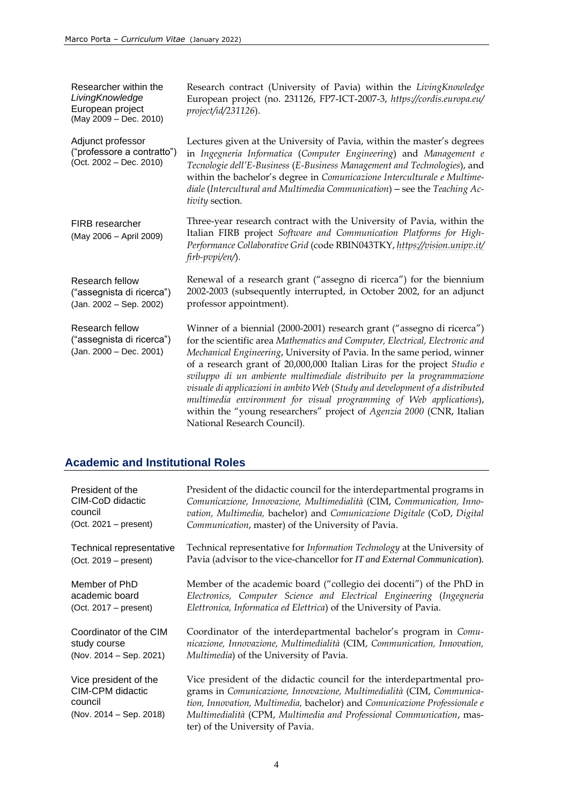Researcher within the *LivingKnowledge* European project (May 2009 – Dec. 2010) Research contract (University of Pavia) within the *LivingKnowledge* European project (no. 231126, FP7-ICT-2007-3, *[https://cordis.europa.eu/](https://cordis.europa.eu/project/id/231126) [project/id/231126](https://cordis.europa.eu/project/id/231126)*). Adjunct professor ("professore a contratto") (Oct. 2002 – Dec. 2010) Lectures given at the University of Pavia, within the master's degrees in *Ingegneria Informatica* (*Computer Engineering*) and *Management e Tecnologie dell'E-Business* (*E-Business Management and Technologies*), and within the bachelor's degree in *Comunicazione Interculturale e Multimediale* (*Intercultural and Multimedia Communication*) ‒ see the *Teaching Activity* section. FIRB researcher (May 2006 – April 2009) Three-year research contract with the University of Pavia, within the Italian FIRB project *Software and Communication Platforms for High-Performance Collaborative Grid* (code RBIN043TKY, *[https://vision.unipv.it/](https://vision.unipv.it/firb-pvpi/en/) [firb-pvpi/en/](https://vision.unipv.it/firb-pvpi/en/)*). Research fellow ("assegnista di ricerca") (Jan. 2002 – Sep. 2002) Renewal of a research grant ("assegno di ricerca") for the biennium 2002-2003 (subsequently interrupted, in October 2002, for an adjunct professor appointment). Research fellow ("assegnista di ricerca") (Jan. 2000 – Dec. 2001) Winner of a biennial (2000-2001) research grant ("assegno di ricerca") for the scientific area *Mathematics and Computer, Electrical, Electronic and Mechanical Engineering*, University of Pavia. In the same period, winner of a research grant of 20,000,000 Italian Liras for the project *Studio e sviluppo di un ambiente multimediale distribuito per la programmazione visuale di applicazioni in ambito Web* (*Study and development of a distributed multimedia environment for visual programming of Web applications*), within the "young researchers" project of *Agenzia 2000* (CNR, Italian National Research Council).

### **Academic and Institutional Roles**

| President of the                                                                   | President of the didactic council for the interdepartmental programs in                                                                                                                                                                                                                                                                |
|------------------------------------------------------------------------------------|----------------------------------------------------------------------------------------------------------------------------------------------------------------------------------------------------------------------------------------------------------------------------------------------------------------------------------------|
| CIM-CoD didactic                                                                   | Comunicazione, Innovazione, Multimedialità (CIM, Communication, Inno-                                                                                                                                                                                                                                                                  |
| council                                                                            | vation, Multimedia, bachelor) and Comunicazione Digitale (CoD, Digital                                                                                                                                                                                                                                                                 |
| $(Oct. 2021 - present)$                                                            | Communication, master) of the University of Pavia.                                                                                                                                                                                                                                                                                     |
| Technical representative                                                           | Technical representative for Information Technology at the University of                                                                                                                                                                                                                                                               |
| $(Oct. 2019 - present)$                                                            | Pavia (advisor to the vice-chancellor for IT and External Communication).                                                                                                                                                                                                                                                              |
| Member of PhD                                                                      | Member of the academic board ("collegio dei docenti") of the PhD in                                                                                                                                                                                                                                                                    |
| academic board                                                                     | Electronics, Computer Science and Electrical Engineering (Ingegneria                                                                                                                                                                                                                                                                   |
| $(Oct. 2017 - present)$                                                            | Elettronica, Informatica ed Elettrica) of the University of Pavia.                                                                                                                                                                                                                                                                     |
| Coordinator of the CIM                                                             | Coordinator of the interdepartmental bachelor's program in Comu-                                                                                                                                                                                                                                                                       |
| study course                                                                       | nicazione, Innovazione, Multimedialità (CIM, Communication, Innovation,                                                                                                                                                                                                                                                                |
| (Nov. 2014 – Sep. 2021)                                                            | Multimedia) of the University of Pavia.                                                                                                                                                                                                                                                                                                |
| Vice president of the<br>CIM-CPM didactic<br>council<br>(Nov. $2014 - Sep. 2018$ ) | Vice president of the didactic council for the interdepartmental pro-<br>grams in Comunicazione, Innovazione, Multimedialità (CIM, Communica-<br>tion, Innovation, Multimedia, bachelor) and Comunicazione Professionale e<br>Multimedialità (CPM, Multimedia and Professional Communication, mas-<br>ter) of the University of Pavia. |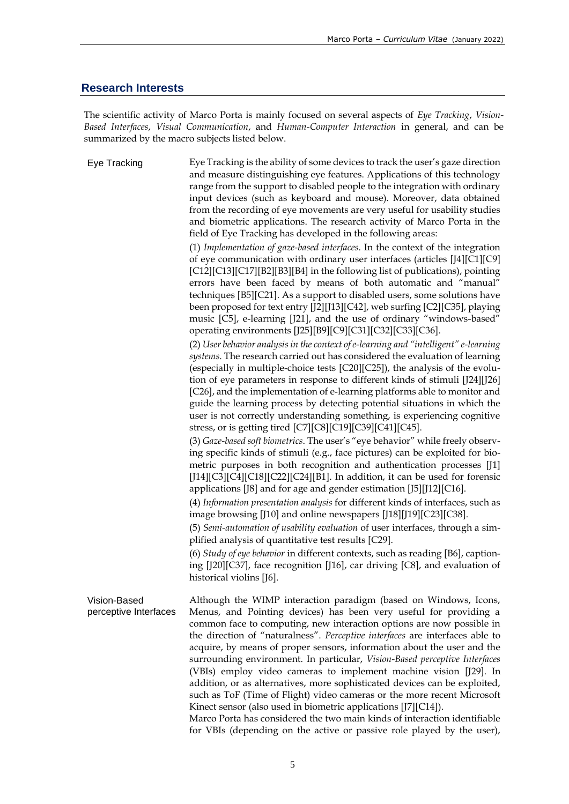#### **Research Interests**

The scientific activity of Marco Porta is mainly focused on several aspects of *Eye Tracking*, *Vision-Based Interfaces*, *Visual Communication*, and *Human-Computer Interaction* in general, and can be summarized by the macro subjects listed below.

Eye Tracking Eye Tracking is the ability of some devices to track the user's gaze direction and measure distinguishing eye features. Applications of this technology range from the support to disabled people to the integration with ordinary input devices (such as keyboard and mouse). Moreover, data obtained from the recording of eye movements are very useful for usability studies and biometric applications. The research activity of Marco Porta in the field of Eye Tracking has developed in the following areas: (1) *Implementation of gaze-based interfaces*. In the context of the integration of eye communication with ordinary user interfaces (articles [J4][C1][C9] [C12][C13][C17][B2][B3][B4] in the following list of publications), pointing errors have been faced by means of both automatic and "manual" techniques [B5][C21]. As a support to disabled users, some solutions have been proposed for text entry [J2][J13][C42], web surfing [C2][C35], playing music [C5], e-learning [J21], and the use of ordinary "windows-based" operating environments [J25][B9][C9][C31][C32][C33][C36]. (2) *User behavior analysis in the context of e-learning and "intelligent" e-learning systems*. The research carried out has considered the evaluation of learning (especially in multiple-choice tests [C20][C25]), the analysis of the evolution of eye parameters in response to different kinds of stimuli [J24][J26] [C26], and the implementation of e-learning platforms able to monitor and guide the learning process by detecting potential situations in which the user is not correctly understanding something, is experiencing cognitive stress, or is getting tired [C7][C8][C19][C39][C41][C45]. (3) *Gaze-based soft biometrics*. The user's "eye behavior" while freely observing specific kinds of stimuli (e.g., face pictures) can be exploited for biometric purposes in both recognition and authentication processes [J1] [J14][C3][C4][C18][C22][C24][B1]. In addition, it can be used for forensic applications [J8] and for age and gender estimation [J5][J12][C16]. (4) *Information presentation analysis* for different kinds of interfaces, such as image browsing [J10] and online newspapers [J18][J19][C23][C38]. (5) *Semi-automation of usability evaluation* of user interfaces, through a simplified analysis of quantitative test results [C29]. (6) *Study of eye behavior* in different contexts, such as reading [B6], captioning [J20][C37], face recognition [J16], car driving [C8], and evaluation of historical violins [J6]. Vision-Based perceptive Interfaces Although the WIMP interaction paradigm (based on Windows, Icons, Menus, and Pointing devices) has been very useful for providing a common face to computing, new interaction options are now possible in the direction of "naturalness". *Perceptive interfaces* are interfaces able to acquire, by means of proper sensors, information about the user and the surrounding environment. In particular, *Vision-Based perceptive Interfaces* (VBIs) employ video cameras to implement machine vision [J29]. In addition, or as alternatives, more sophisticated devices can be exploited, such as ToF (Time of Flight) video cameras or the more recent Microsoft Kinect sensor (also used in biometric applications [J7][C14]). Marco Porta has considered the two main kinds of interaction identifiable for VBIs (depending on the active or passive role played by the user),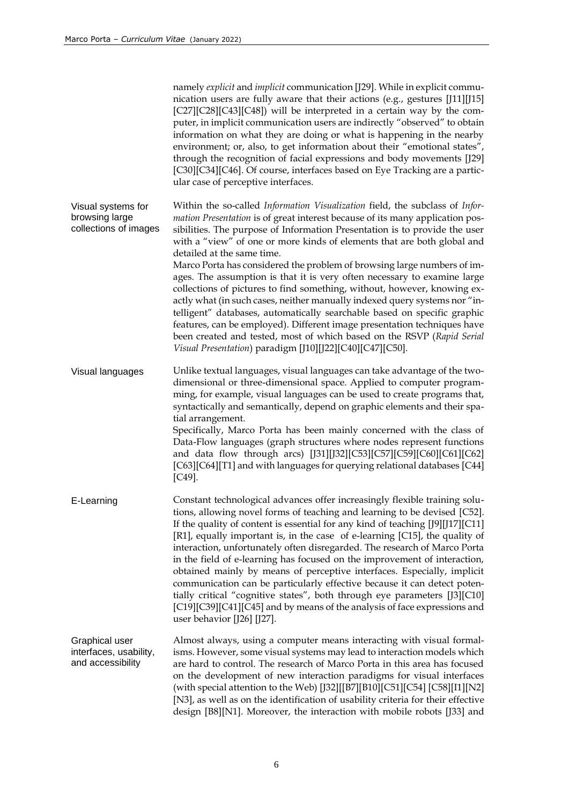|                                                               | namely explicit and implicit communication [J29]. While in explicit commu-<br>nication users are fully aware that their actions (e.g., gestures [J11][J15]<br>[C27][C28][C43][C48]) will be interpreted in a certain way by the com-<br>puter, in implicit communication users are indirectly "observed" to obtain<br>information on what they are doing or what is happening in the nearby<br>environment; or, also, to get information about their "emotional states",<br>through the recognition of facial expressions and body movements [J29]<br>[C30][C34][C46]. Of course, interfaces based on Eye Tracking are a partic-<br>ular case of perceptive interfaces.                                                                                                                                                                                                                                                                                             |
|---------------------------------------------------------------|---------------------------------------------------------------------------------------------------------------------------------------------------------------------------------------------------------------------------------------------------------------------------------------------------------------------------------------------------------------------------------------------------------------------------------------------------------------------------------------------------------------------------------------------------------------------------------------------------------------------------------------------------------------------------------------------------------------------------------------------------------------------------------------------------------------------------------------------------------------------------------------------------------------------------------------------------------------------|
| Visual systems for<br>browsing large<br>collections of images | Within the so-called Information Visualization field, the subclass of Infor-<br>mation Presentation is of great interest because of its many application pos-<br>sibilities. The purpose of Information Presentation is to provide the user<br>with a "view" of one or more kinds of elements that are both global and<br>detailed at the same time.<br>Marco Porta has considered the problem of browsing large numbers of im-<br>ages. The assumption is that it is very often necessary to examine large<br>collections of pictures to find something, without, however, knowing ex-<br>actly what (in such cases, neither manually indexed query systems nor "in-<br>telligent" databases, automatically searchable based on specific graphic<br>features, can be employed). Different image presentation techniques have<br>been created and tested, most of which based on the RSVP (Rapid Serial<br>Visual Presentation) paradigm [J10][J22][C40][C47][C50]. |
| Visual languages                                              | Unlike textual languages, visual languages can take advantage of the two-<br>dimensional or three-dimensional space. Applied to computer program-<br>ming, for example, visual languages can be used to create programs that,<br>syntactically and semantically, depend on graphic elements and their spa-<br>tial arrangement.<br>Specifically, Marco Porta has been mainly concerned with the class of<br>Data-Flow languages (graph structures where nodes represent functions<br>and data flow through arcs) [J31][J32][C53][C57][C59][C60][C61][C62]<br>[C63][C64][T1] and with languages for querying relational databases [C44]<br>$[C49]$ .                                                                                                                                                                                                                                                                                                                 |
| E-Learning                                                    | Constant technological advances offer increasingly flexible training solu-<br>tions, allowing novel forms of teaching and learning to be devised [C52].<br>If the quality of content is essential for any kind of teaching [J9][J17][C11]<br>[R1], equally important is, in the case of e-learning [C15], the quality of<br>interaction, unfortunately often disregarded. The research of Marco Porta<br>in the field of e-learning has focused on the improvement of interaction,<br>obtained mainly by means of perceptive interfaces. Especially, implicit<br>communication can be particularly effective because it can detect poten-<br>tially critical "cognitive states", both through eye parameters [J3][C10]<br>[C19][C39][C41][C45] and by means of the analysis of face expressions and<br>user behavior [J26] [J27].                                                                                                                                   |
| Graphical user<br>interfaces, usability,<br>and accessibility | Almost always, using a computer means interacting with visual formal-<br>isms. However, some visual systems may lead to interaction models which<br>are hard to control. The research of Marco Porta in this area has focused<br>on the development of new interaction paradigms for visual interfaces<br>(with special attention to the Web) [J32][[B7][B10][C51][C54] [C58][I1][N2]<br>[N3], as well as on the identification of usability criteria for their effective<br>design [B8][N1]. Moreover, the interaction with mobile robots [J33] and                                                                                                                                                                                                                                                                                                                                                                                                                |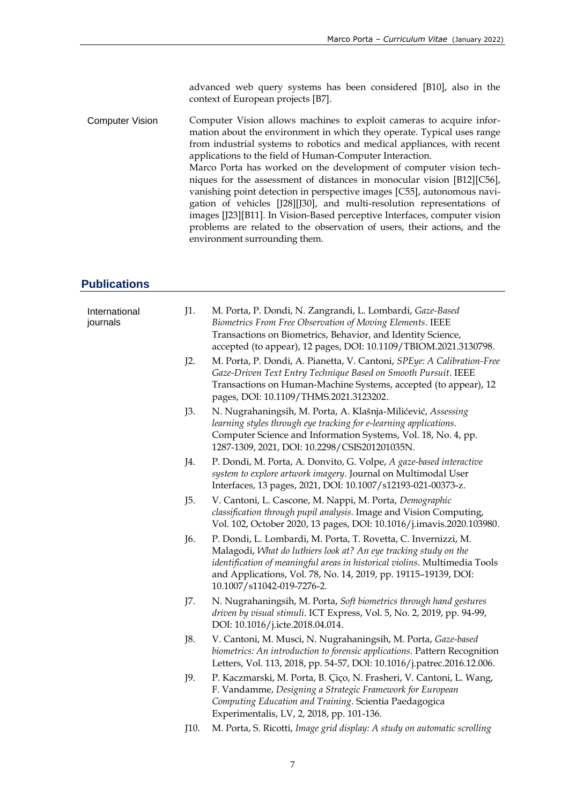advanced web query systems has been considered [B10], also in the context of European projects [B7].

Computer Vision Computer Vision allows machines to exploit cameras to acquire information about the environment in which they operate. Typical uses range from industrial systems to robotics and medical appliances, with recent applications to the field of Human-Computer Interaction. Marco Porta has worked on the development of computer vision techniques for the assessment of distances in monocular vision [B12][C56], vanishing point detection in perspective images [C55], autonomous navigation of vehicles [J28][J30], and multi-resolution representations of images [J23][B11]. In Vision-Based perceptive Interfaces, computer vision problems are related to the observation of users, their actions, and the environment surrounding them.

## **Publications**

| International<br>journals | J1.  | M. Porta, P. Dondi, N. Zangrandi, L. Lombardi, Gaze-Based<br>Biometrics From Free Observation of Moving Elements. IEEE<br>Transactions on Biometrics, Behavior, and Identity Science,<br>accepted (to appear), 12 pages, DOI: 10.1109/TBIOM.2021.3130798.                                                        |
|---------------------------|------|------------------------------------------------------------------------------------------------------------------------------------------------------------------------------------------------------------------------------------------------------------------------------------------------------------------|
|                           | J2.  | M. Porta, P. Dondi, A. Pianetta, V. Cantoni, SPEye: A Calibration-Free<br>Gaze-Driven Text Entry Technique Based on Smooth Pursuit. IEEE<br>Transactions on Human-Machine Systems, accepted (to appear), 12<br>pages, DOI: 10.1109/THMS.2021.3123202.                                                            |
|                           | J3.  | N. Nugrahaningsih, M. Porta, A. Klašnja-Milićević, Assessing<br>learning styles through eye tracking for e-learning applications.<br>Computer Science and Information Systems, Vol. 18, No. 4, pp.<br>1287-1309, 2021, DOI: 10.2298/CSIS201201035N.                                                              |
|                           | J4.  | P. Dondi, M. Porta, A. Donvito, G. Volpe, A gaze-based interactive<br>system to explore artwork imagery. Journal on Multimodal User<br>Interfaces, 13 pages, 2021, DOI: 10.1007/s12193-021-00373-z.                                                                                                              |
|                           | J5.  | V. Cantoni, L. Cascone, M. Nappi, M. Porta, Demographic<br>classification through pupil analysis. Image and Vision Computing,<br>Vol. 102, October 2020, 13 pages, DOI: 10.1016/j.imavis.2020.103980.                                                                                                            |
|                           | J6.  | P. Dondi, L. Lombardi, M. Porta, T. Rovetta, C. Invernizzi, M.<br>Malagodi, What do luthiers look at? An eye tracking study on the<br>identification of meaningful areas in historical violins. Multimedia Tools<br>and Applications, Vol. 78, No. 14, 2019, pp. 19115-19139, DOI:<br>10.1007/s11042-019-7276-2. |
|                           | J7.  | N. Nugrahaningsih, M. Porta, Soft biometrics through hand gestures<br>driven by visual stimuli. ICT Express, Vol. 5, No. 2, 2019, pp. 94-99,<br>DOI: 10.1016/j.icte.2018.04.014.                                                                                                                                 |
|                           | J8.  | V. Cantoni, M. Musci, N. Nugrahaningsih, M. Porta, Gaze-based<br>biometrics: An introduction to forensic applications. Pattern Recognition<br>Letters, Vol. 113, 2018, pp. 54-57, DOI: 10.1016/j.patrec.2016.12.006.                                                                                             |
|                           | J9.  | P. Kaczmarski, M. Porta, B. Çiço, N. Frasheri, V. Cantoni, L. Wang,<br>F. Vandamme, Designing a Strategic Framework for European<br>Computing Education and Training. Scientia Paedagogica<br>Experimentalis, LV, 2, 2018, pp. 101-136.                                                                          |
|                           | J10. | M. Porta, S. Ricotti, Image grid display: A study on automatic scrolling                                                                                                                                                                                                                                         |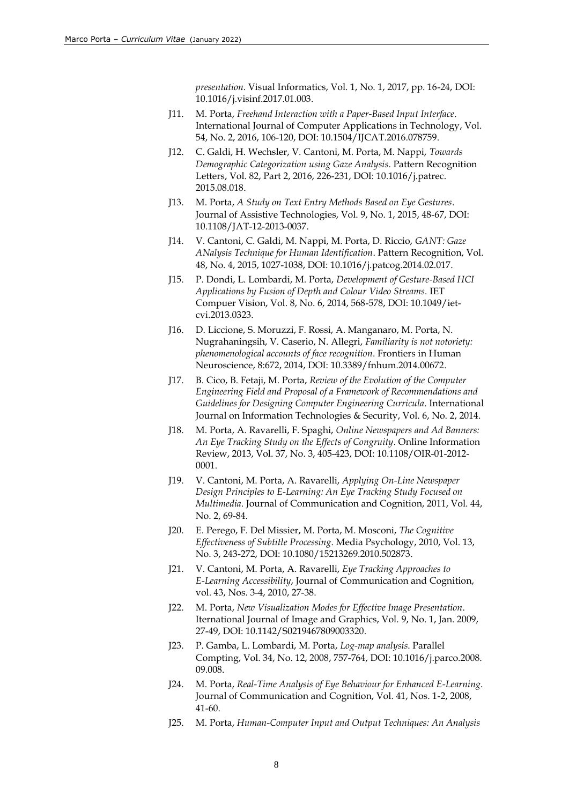*presentation*. Visual Informatics, Vol. 1, No. 1, 2017, pp. 16-24, DOI: 10.1016/j.visinf.2017.01.003.

- J11. M. Porta, *Freehand Interaction with a Paper-Based Input Interface*. International Journal of Computer Applications in Technology, Vol. 54, No. 2, 2016, 106-120, DOI: 10.1504/IJCAT.2016.078759.
- J12. C. Galdi, H. Wechsler, V. Cantoni, M. Porta, M. Nappi, *Towards Demographic Categorization using Gaze Analysis*. Pattern Recognition Letters, Vol. 82, Part 2, 2016, 226-231, DOI: 10.1016/j.patrec. 2015.08.018.
- J13. M. Porta, *A Study on Text Entry Methods Based on Eye Gestures*. Journal of Assistive Technologies, Vol. 9, No. 1, 2015, 48-67, DOI: 10.1108/JAT-12-2013-0037.
- J14. V. Cantoni, C. Galdi, M. Nappi, M. Porta, D. Riccio, *GANT: Gaze ANalysis Technique for Human Identification*. Pattern Recognition, Vol. 48, No. 4, 2015, 1027-1038, DOI: 10.1016/j.patcog.2014.02.017.
- J15. P. Dondi, L. Lombardi, M. Porta, *Development of Gesture-Based HCI Applications by Fusion of Depth and Colour Video Streams*. IET Compuer Vision, Vol. 8, No. 6, 2014, 568-578, DOI: 10.1049/ietcvi.2013.0323.
- J16. D. Liccione, S. Moruzzi, F. Rossi, A. Manganaro, M. Porta, N. Nugrahaningsih, V. Caserio, N. Allegri, *Familiarity is not notoriety: phenomenological accounts of face recognition*. Frontiers in Human Neuroscience, 8:672, 2014, DOI: 10.3389/fnhum.2014.00672.
- J17. B. Cico, B. Fetaji, M. Porta, *Review of the Evolution of the Computer Engineering Field and Proposal of a Framework of Recommendations and Guidelines for Designing Computer Engineering Curricula*. International Journal on Information Technologies & Security, Vol. 6, No. 2, 2014.
- J18. M. Porta, A. Ravarelli, F. Spaghi, *Online Newspapers and Ad Banners: An Eye Tracking Study on the Effects of Congruity*. Online Information Review, 2013, Vol. 37, No. 3, 405-423, DOI: 10.1108/OIR-01-2012- 0001.
- J19. V. Cantoni, M. Porta, A. Ravarelli, *Applying On-Line Newspaper Design Principles to E-Learning: An Eye Tracking Study Focused on Multimedia*. Journal of Communication and Cognition, 2011, Vol. 44, No. 2, 69-84.
- J20. E. Perego, F. Del Missier, M. Porta, M. Mosconi, *The Cognitive Effectiveness of Subtitle Processing*. Media Psychology, 2010, Vol. 13, No. 3, 243-272, DOI: 10.1080/15213269.2010.502873.
- J21. V. Cantoni, M. Porta, A. Ravarelli, *Eye Tracking Approaches to E-Learning Accessibility*, Journal of Communication and Cognition, vol. 43, Nos. 3-4, 2010, 27-38.
- J22. M. Porta, *New Visualization Modes for Effective Image Presentation*. Iternational Journal of Image and Graphics, Vol. 9, No. 1, Jan. 2009, 27-49, DOI: 10.1142/S0219467809003320.
- J23. P. Gamba, L. Lombardi, M. Porta, *Log-map analysis*. Parallel Compting, Vol. 34, No. 12, 2008, 757-764, DOI: 10.1016/j.parco.2008. 09.008.
- J24. M. Porta, *Real-Time Analysis of Eye Behaviour for Enhanced E-Learning*. Journal of Communication and Cognition, Vol. 41, Nos. 1-2, 2008, 41-60.
- J25. M. Porta, *Human-Computer Input and Output Techniques: An Analysis*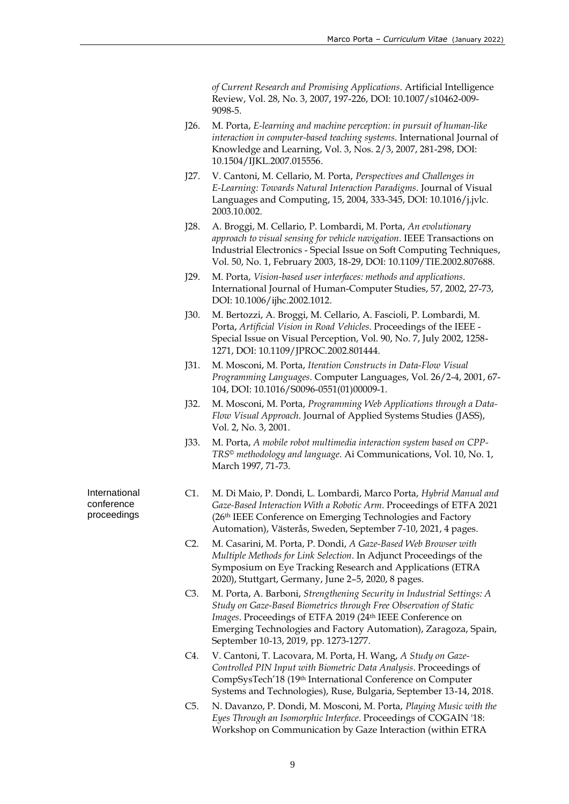*of Current Research and Promising Applications*. Artificial Intelligence Review, Vol. 28, No. 3, 2007, 197-226, DOI: 10.1007/s10462-009- 9098-5.

- J26. M. Porta, *E-learning and machine perception: in pursuit of human-like interaction in computer-based teaching systems*. International Journal of Knowledge and Learning, Vol. 3, Nos. 2/3, 2007, 281-298, DOI: 10.1504/IJKL.2007.015556.
- J27. V. Cantoni, M. Cellario, M. Porta, *Perspectives and Challenges in E-Learning: Towards Natural Interaction Paradigms*. Journal of Visual Languages and Computing, 15, 2004, 333-345, DOI: 10.1016/j.jvlc. 2003.10.002.
- J28. A. Broggi, M. Cellario, P. Lombardi, M. Porta, *An evolutionary approach to visual sensing for vehicle navigation*. IEEE Transactions on Industrial Electronics - Special Issue on Soft Computing Techniques, Vol. 50, No. 1, February 2003, 18-29, DOI: 10.1109/TIE.2002.807688.
- J29. M. Porta, *Vision-based user interfaces: methods and applications*. International Journal of Human-Computer Studies, 57, 2002, 27-73, DOI: 10.1006/ijhc.2002.1012.
- J30. M. Bertozzi, A. Broggi, M. Cellario, A. Fascioli, P. Lombardi, M. Porta, *Artificial Vision in Road Vehicles*. Proceedings of the IEEE - Special Issue on Visual Perception, Vol. 90, No. 7, July 2002, 1258- 1271, DOI: 10.1109/JPROC.2002.801444.
- J31. M. Mosconi, M. Porta, *Iteration Constructs in Data-Flow Visual Programming Languages*. Computer Languages, Vol. 26/2-4, 2001, 67- 104, DOI: 10.1016/S0096-0551(01)00009-1.
- J32. M. Mosconi, M. Porta, *Programming Web Applications through a Data-Flow Visual Approach*. Journal of Applied Systems Studies (JASS), Vol. 2, No. 3, 2001.
- J33. M. Porta, *A mobile robot multimedia interaction system based on CPP-TRS© methodology and language*. Ai Communications, Vol. 10, No. 1, March 1997, 71-73.

International conference proceedings

- C1. M. Di Maio, P. Dondi, L. Lombardi, Marco Porta, *Hybrid Manual and Gaze-Based Interaction With a Robotic Arm*. Proceedings of ETFA 2021 (26th IEEE Conference on Emerging Technologies and Factory Automation), Västerås, Sweden, September 7-10, 2021, 4 pages.
- C2. M. Casarini, M. Porta, P. Dondi, *A Gaze-Based Web Browser with Multiple Methods for Link Selection*. In Adjunct Proceedings of the Symposium on Eye Tracking Research and Applications (ETRA 2020), Stuttgart, Germany, June 2–5, 2020, 8 pages.
- C3. M. Porta, A. Barboni, *Strengthening Security in Industrial Settings: A Study on Gaze-Based Biometrics through Free Observation of Static Images*. Proceedings of ETFA 2019 (24th IEEE Conference on Emerging Technologies and Factory Automation), Zaragoza, Spain, September 10-13, 2019, pp. 1273-1277.
- C4. V. Cantoni, T. Lacovara, M. Porta, H. Wang, *A Study on Gaze-Controlled PIN Input with Biometric Data Analysis*. Proceedings of CompSysTech'18 (19th International Conference on Computer Systems and Technologies), Ruse, Bulgaria, September 13-14, 2018.
- C5. N. Davanzo, P. Dondi, M. Mosconi, M. Porta, *Playing Music with the Eyes Through an Isomorphic Interface*. Proceedings of COGAIN '18: Workshop on Communication by Gaze Interaction (within ETRA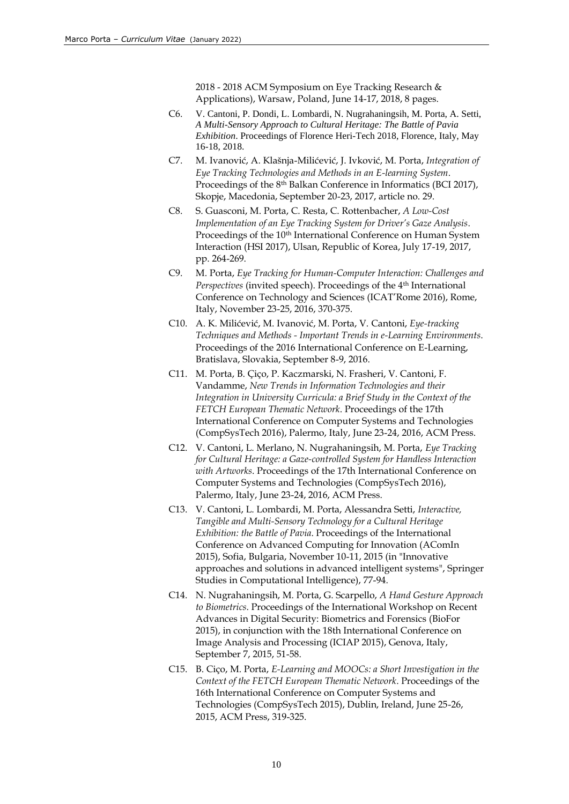2018 - 2018 ACM Symposium on Eye Tracking Research & Applications), Warsaw, Poland, June 14-17, 2018, 8 pages.

- C6. V. Cantoni, P. Dondi, L. Lombardi, N. Nugrahaningsih, M. Porta, A. Setti, *A Multi-Sensory Approach to Cultural Heritage: The Battle of Pavia Exhibition*. Proceedings of Florence Heri-Tech 2018, Florence, Italy, May 16-18, 2018.
- C7. M. Ivanović, A. Klašnja-Milićević, J. Ivković, M. Porta, *Integration of Eye Tracking Technologies and Methods in an E-learning System*. Proceedings of the 8th Balkan Conference in Informatics (BCI 2017), Skopje, Macedonia, September 20-23, 2017, article no. 29.
- C8. S. Guasconi, M. Porta, C. Resta, C. Rottenbacher, *A Low-Cost Implementation of an Eye Tracking System for Driver's Gaze Analysis*. Proceedings of the 10<sup>th</sup> International Conference on Human System Interaction (HSI 2017), Ulsan, Republic of Korea, July 17-19, 2017, pp. 264-269.
- C9. M. Porta, *Eye Tracking for Human-Computer Interaction: Challenges and Perspectives* (invited speech). Proceedings of the 4th International Conference on Technology and Sciences (ICAT'Rome 2016), Rome, Italy, November 23-25, 2016, 370-375.
- C10. A. K. Milićević, M. Ivanović, M. Porta, V. Cantoni, *Eye-tracking Techniques and Methods - Important Trends in e-Learning Environments*. Proceedings of the 2016 International Conference on E-Learning, Bratislava, Slovakia, September 8-9, 2016.
- C11. M. Porta, B. Çiço, P. Kaczmarski, N. Frasheri, V. Cantoni, F. Vandamme, *New Trends in Information Technologies and their Integration in University Curricula: a Brief Study in the Context of the FETCH European Thematic Network*. Proceedings of the 17th International Conference on Computer Systems and Technologies (CompSysTech 2016), Palermo, Italy, June 23-24, 2016, ACM Press.
- C12. V. Cantoni, L. Merlano, N. Nugrahaningsih, M. Porta, *Eye Tracking for Cultural Heritage: a Gaze-controlled System for Handless Interaction with Artworks*. Proceedings of the 17th International Conference on Computer Systems and Technologies (CompSysTech 2016), Palermo, Italy, June 23-24, 2016, ACM Press.
- C13. V. Cantoni, L. Lombardi, M. Porta, Alessandra Setti, *Interactive, Tangible and Multi-Sensory Technology for a Cultural Heritage Exhibition: the Battle of Pavia*. Proceedings of the International Conference on Advanced Computing for Innovation (AComIn 2015), Sofia, Bulgaria, November 10-11, 2015 (in "Innovative approaches and solutions in advanced intelligent systems", Springer Studies in Computational Intelligence), 77-94.
- C14. N. Nugrahaningsih, M. Porta, G. Scarpello, *A Hand Gesture Approach to Biometrics*. Proceedings of the International Workshop on Recent Advances in Digital Security: Biometrics and Forensics (BioFor 2015), in conjunction with the 18th International Conference on Image Analysis and Processing (ICIAP 2015), Genova, Italy, September 7, 2015, 51-58.
- C15. B. Ciço, M. Porta, *E-Learning and MOOCs: a Short Investigation in the Context of the FETCH European Thematic Network*. Proceedings of the 16th International Conference on Computer Systems and Technologies (CompSysTech 2015), Dublin, Ireland, June 25-26, 2015, ACM Press, 319-325.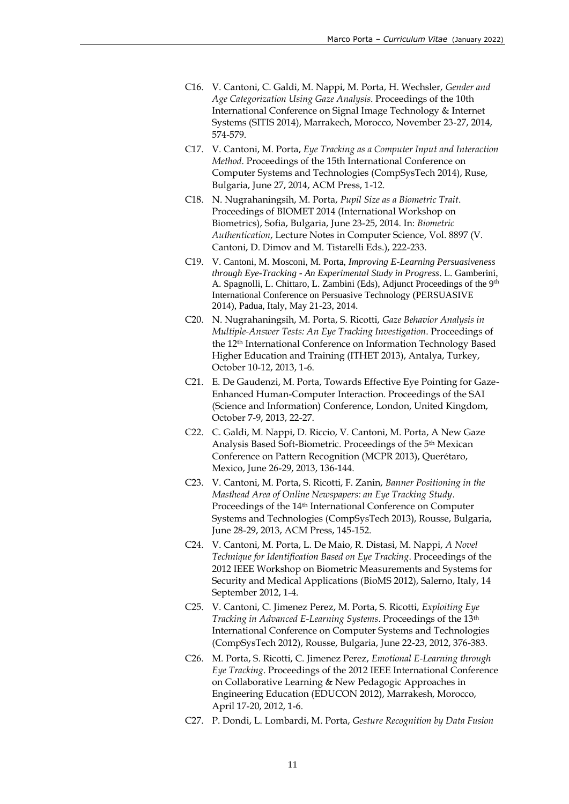- C16. V. Cantoni, C. Galdi, M. Nappi, M. Porta, H. Wechsler, *Gender and Age Categorization Using Gaze Analysis*. Proceedings of the 10th International Conference on Signal Image Technology & Internet Systems (SITIS 2014), Marrakech, Morocco, November 23-27, 2014, 574-579.
- C17. V. Cantoni, M. Porta, *Eye Tracking as a Computer Input and Interaction Method*. Proceedings of the 15th International Conference on Computer Systems and Technologies (CompSysTech 2014), Ruse, Bulgaria, June 27, 2014, ACM Press, 1-12.
- C18. N. Nugrahaningsih, M. Porta, *Pupil Size as a Biometric Trait*. Proceedings of BIOMET 2014 (International Workshop on Biometrics), Sofia, Bulgaria, June 23-25, 2014. In: *Biometric Authentication*, Lecture Notes in Computer Science, Vol. 8897 (V. Cantoni, D. Dimov and M. Tistarelli Eds.), 222-233.
- C19. V. Cantoni, M. Mosconi, M. Porta, *Improving E-Learning Persuasiveness through Eye-Tracking - An Experimental Study in Progress*. L. Gamberini, A. Spagnolli, L. Chittaro, L. Zambini (Eds), Adjunct Proceedings of the 9<sup>th</sup> International Conference on Persuasive Technology (PERSUASIVE 2014), Padua, Italy, May 21-23, 2014.
- C20. N. Nugrahaningsih, M. Porta, S. Ricotti, *Gaze Behavior Analysis in Multiple-Answer Tests: An Eye Tracking Investigation*. Proceedings of the 12th International Conference on Information Technology Based Higher Education and Training (ITHET 2013), Antalya, Turkey, October 10-12, 2013, 1-6.
- C21. E. De Gaudenzi, M. Porta, Towards Effective Eye Pointing for Gaze-Enhanced Human-Computer Interaction. Proceedings of the SAI (Science and Information) Conference, London, United Kingdom, October 7-9, 2013, 22-27.
- C22. C. Galdi, M. Nappi, D. Riccio, V. Cantoni, M. Porta, A New Gaze Analysis Based Soft-Biometric. Proceedings of the 5th Mexican Conference on Pattern Recognition (MCPR 2013), Querétaro, Mexico, June 26-29, 2013, 136-144.
- C23. V. Cantoni, M. Porta, S. Ricotti, F. Zanin, *Banner Positioning in the Masthead Area of Online Newspapers: an Eye Tracking Study*. Proceedings of the 14th International Conference on Computer Systems and Technologies (CompSysTech 2013), Rousse, Bulgaria, June 28-29, 2013, ACM Press, 145-152.
- C24. V. Cantoni, M. Porta, L. De Maio, R. Distasi, M. Nappi, *A Novel Technique for Identification Based on Eye Tracking*. Proceedings of the 2012 IEEE Workshop on Biometric Measurements and Systems for Security and Medical Applications (BioMS 2012), Salerno, Italy, 14 September 2012, 1-4.
- C25. V. Cantoni, C. Jimenez Perez, M. Porta, S. Ricotti, *Exploiting Eye Tracking in Advanced E-Learning Systems*. Proceedings of the 13th International Conference on Computer Systems and Technologies (CompSysTech 2012), Rousse, Bulgaria, June 22-23, 2012, 376-383.
- C26. M. Porta, S. Ricotti, C. Jimenez Perez, *Emotional E-Learning through Eye Tracking*. Proceedings of the 2012 IEEE International Conference on Collaborative Learning & New Pedagogic Approaches in Engineering Education (EDUCON 2012), Marrakesh, Morocco, April 17-20, 2012, 1-6.
- C27. P. Dondi, L. Lombardi, M. Porta, *Gesture Recognition by Data Fusion*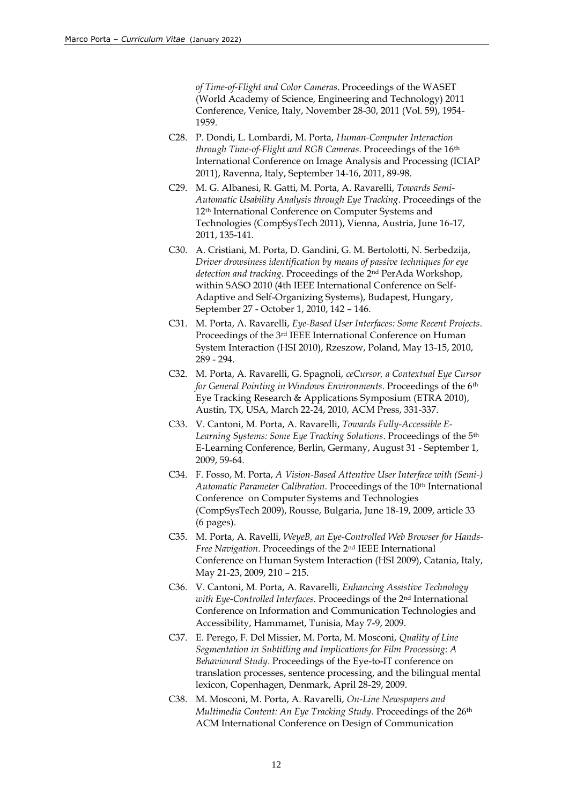*of Time-of-Flight and Color Cameras*. Proceedings of the WASET (World Academy of Science, Engineering and Technology) 2011 Conference, Venice, Italy, November 28-30, 2011 (Vol. 59), 1954- 1959.

- C28. P. Dondi, L. Lombardi, M. Porta, *Human-Computer Interaction through Time-of-Flight and RGB Cameras*. Proceedings of the 16th International Conference on Image Analysis and Processing (ICIAP 2011), Ravenna, Italy, September 14-16, 2011, 89-98.
- C29. M. G. Albanesi, R. Gatti, M. Porta, A. Ravarelli, *Towards Semi-Automatic Usability Analysis through Eye Tracking*. Proceedings of the 12th International Conference on Computer Systems and Technologies (CompSysTech 2011), Vienna, Austria, June 16-17, 2011, 135-141.
- C30. A. Cristiani, M. Porta, D. Gandini, G. M. Bertolotti, N. Serbedzija, *Driver drowsiness identification by means of passive techniques for eye detection and tracking*. Proceedings of the 2nd PerAda Workshop, within SASO 2010 (4th IEEE International Conference on Self-Adaptive and Self-Organizing Systems), Budapest, Hungary, September 27 - October 1, 2010, 142 – 146.
- C31. M. Porta, A. Ravarelli, *Eye-Based User Interfaces: Some Recent Projects*. Proceedings of the 3rd IEEE International Conference on Human System Interaction (HSI 2010), Rzeszow, Poland, May 13-15, 2010, 289 - 294.
- C32. M. Porta, A. Ravarelli, G. Spagnoli, *ceCursor, a Contextual Eye Cursor for General Pointing in Windows Environments*. Proceedings of the 6th Eye Tracking Research & Applications Symposium (ETRA 2010), Austin, TX, USA, March 22-24, 2010, ACM Press, 331-337.
- C33. V. Cantoni, M. Porta, A. Ravarelli, *Towards Fully-Accessible E-Learning Systems: Some Eye Tracking Solutions*. Proceedings of the 5th E-Learning Conference, Berlin, Germany, August 31 - September 1, 2009, 59-64.
- C34. F. Fosso, M. Porta, *A Vision-Based Attentive User Interface with (Semi-)*  Automatic Parameter Calibration. Proceedings of the 10<sup>th</sup> International Conference on Computer Systems and Technologies (CompSysTech 2009), Rousse, Bulgaria, June 18-19, 2009, article 33 (6 pages).
- C35. M. Porta, A. Ravelli, *WeyeB, an Eye-Controlled Web Browser for Hands-Free Navigation*. Proceedings of the 2nd IEEE International Conference on Human System Interaction (HSI 2009), Catania, Italy, May 21-23, 2009, 210 – 215.
- C36. V. Cantoni, M. Porta, A. Ravarelli, *Enhancing Assistive Technology with Eye-Controlled Interfaces*. Proceedings of the 2nd International Conference on Information and Communication Technologies and Accessibility, Hammamet, Tunisia, May 7-9, 2009.
- C37. E. Perego, F. Del Missier, M. Porta, M. Mosconi, *Quality of Line Segmentation in Subtitling and Implications for Film Processing: A Behavioural Study*. Proceedings of the Eye-to-IT conference on translation processes, sentence processing, and the bilingual mental lexicon, Copenhagen, Denmark, April 28-29, 2009.
- C38. M. Mosconi, M. Porta, A. Ravarelli, *On-Line Newspapers and Multimedia Content: An Eye Tracking Study. Proceedings of the 26<sup>th</sup>* ACM International Conference on Design of Communication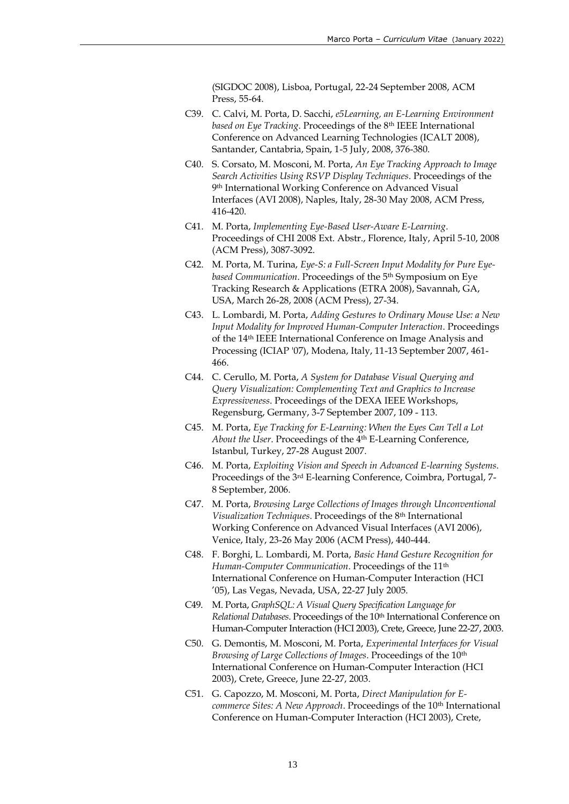(SIGDOC 2008), Lisboa, Portugal, 22-24 September 2008, ACM Press, 55-64.

- C39. C. Calvi, M. Porta, D. Sacchi, *e5Learning, an E-Learning Environment based on Eye Tracking*. Proceedings of the 8th IEEE International Conference on Advanced Learning Technologies (ICALT 2008), Santander, Cantabria, Spain, 1-5 July, 2008, 376-380.
- C40. S. Corsato, M. Mosconi, M. Porta, *An Eye Tracking Approach to Image Search Activities Using RSVP Display Techniques*. Proceedings of the 9 th International Working Conference on Advanced Visual Interfaces (AVI 2008), Naples, Italy, 28-30 May 2008, ACM Press, 416-420.
- C41. M. Porta, *Implementing Eye-Based User-Aware E-Learning*. Proceedings of CHI 2008 Ext. Abstr., Florence, Italy, April 5-10, 2008 (ACM Press), 3087-3092.
- C42. M. Porta, M. Turina, *Eye-S: a Full-Screen Input Modality for Pure Eyebased Communication*. Proceedings of the 5th Symposium on Eye Tracking Research & Applications (ETRA 2008), Savannah, GA, USA, March 26-28, 2008 (ACM Press), 27-34.
- C43. L. Lombardi, M. Porta, *Adding Gestures to Ordinary Mouse Use: a New Input Modality for Improved Human-Computer Interaction*. Proceedings of the 14th IEEE International Conference on Image Analysis and Processing (ICIAP '07), Modena, Italy, 11-13 September 2007, 461- 466.
- C44. C. Cerullo, M. Porta, *A System for Database Visual Querying and Query Visualization: Complementing Text and Graphics to Increase Expressiveness*. Proceedings of the DEXA IEEE Workshops, Regensburg, Germany, 3-7 September 2007, 109 - 113.
- C45. M. Porta, *Eye Tracking for E-Learning: When the Eyes Can Tell a Lot About the User*. Proceedings of the 4th E-Learning Conference, Istanbul, Turkey, 27-28 August 2007.
- C46. M. Porta, *Exploiting Vision and Speech in Advanced E-learning Systems*. Proceedings of the 3rd E-learning Conference, Coimbra, Portugal, 7- 8 September, 2006.
- C47. M. Porta, *Browsing Large Collections of Images through Unconventional Visualization Techniques*. Proceedings of the 8th International Working Conference on Advanced Visual Interfaces (AVI 2006), Venice, Italy, 23-26 May 2006 (ACM Press), 440-444.
- C48. F. Borghi, L. Lombardi, M. Porta, *Basic Hand Gesture Recognition for Human-Computer Communication*. Proceedings of the 11th International Conference on Human-Computer Interaction (HCI '05), Las Vegas, Nevada, USA, 22-27 July 2005.
- C49. M. Porta, *GraphSQL: A Visual Query Specification Language for Relational Databases*. Proceedings of the 10th International Conference on Human-Computer Interaction (HCI 2003), Crete, Greece, June 22-27, 2003.
- C50. G. Demontis, M. Mosconi, M. Porta, *Experimental Interfaces for Visual Browsing of Large Collections of Images*. Proceedings of the 10th International Conference on Human-Computer Interaction (HCI 2003), Crete, Greece, June 22-27, 2003.
- C51. G. Capozzo, M. Mosconi, M. Porta, *Direct Manipulation for Ecommerce Sites: A New Approach. Proceedings of the 10<sup>th</sup> International* Conference on Human-Computer Interaction (HCI 2003), Crete,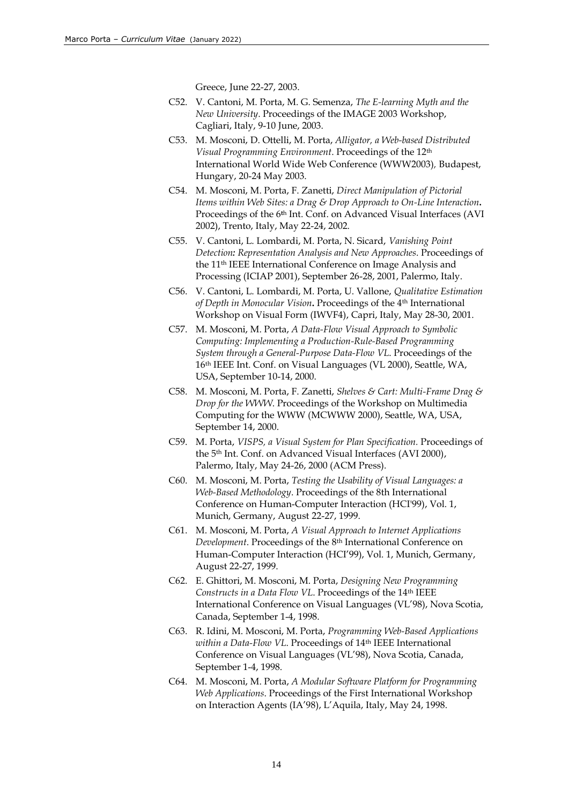Greece, June 22-27, 2003.

- C52. V. Cantoni, M. Porta, M. G. Semenza, *The E-learning Myth and the New University*. Proceedings of the IMAGE 2003 Workshop, Cagliari, Italy, 9-10 June, 2003.
- C53. M. Mosconi, D. Ottelli, M. Porta, *Alligator, a Web-based Distributed Visual Programming Environment*. Proceedings of the 12th International World Wide Web Conference (WWW2003)*,* Budapest, Hungary, 20-24 May 2003.
- C54. M. Mosconi, M. Porta, F. Zanetti, *Direct Manipulation of Pictorial Items within Web Sites: a Drag & Drop Approach to On-Line Interaction***.**  Proceedings of the 6**<sup>t</sup>**<sup>h</sup> Int. Conf. on Advanced Visual Interfaces (AVI 2002), Trento, Italy, May 22-24, 2002.
- C55. V. Cantoni, L. Lombardi, M. Porta, N. Sicard, *Vanishing Point Detection: Representation Analysis and New Approaches*. Proceedings of the 11th IEEE International Conference on Image Analysis and Processing (ICIAP 2001), September 26-28, 2001, Palermo, Italy.
- C56. V. Cantoni, L. Lombardi, M. Porta, U. Vallone, *Qualitative Estimation of Depth in Monocular Vision***.** Proceedings of the 4th International Workshop on Visual Form (IWVF4), Capri, Italy, May 28-30, 2001.
- C57. M. Mosconi, M. Porta, *A Data-Flow Visual Approach to Symbolic Computing: Implementing a Production-Rule-Based Programming System through a General-Purpose Data-Flow VL*. Proceedings of the 16th IEEE Int. Conf. on Visual Languages (VL 2000), Seattle, WA, USA, September 10-14, 2000.
- C58. M. Mosconi, M. Porta, F. Zanetti, *Shelves & Cart: Multi-Frame Drag & Drop for the WWW*. Proceedings of the Workshop on Multimedia Computing for the WWW (MCWWW 2000), Seattle, WA, USA, September 14, 2000.
- C59. M. Porta, *VISPS, a Visual System for Plan Specification.* Proceedings of the 5<sup>th</sup> Int. Conf. on Advanced Visual Interfaces (AVI 2000), Palermo, Italy, May 24-26, 2000 (ACM Press).
- C60. M. Mosconi, M. Porta, *Testing the Usability of Visual Languages: a Web-Based Methodology*. Proceedings of the 8th International Conference on Human-Computer Interaction (HCI'99), Vol. 1, Munich, Germany, August 22-27, 1999.
- C61. M. Mosconi, M. Porta, *A Visual Approach to Internet Applications Development*. Proceedings of the 8th International Conference on Human-Computer Interaction (HCI'99), Vol. 1, Munich, Germany, August 22-27, 1999.
- C62. E. Ghittori, M. Mosconi, M. Porta, *Designing New Programming*  Constructs in a Data Flow VL. Proceedings of the 14<sup>th</sup> IEEE International Conference on Visual Languages (VL'98), Nova Scotia, Canada, September 1-4, 1998.
- C63. R. Idini, M. Mosconi, M. Porta, *Programming Web-Based Applications within a Data-Flow VL*. Proceedings of 14th IEEE International Conference on Visual Languages (VL'98), Nova Scotia, Canada, September 1-4, 1998.
- C64. M. Mosconi, M. Porta, *A Modular Software Platform for Programming Web Applications*. Proceedings of the First International Workshop on Interaction Agents (IA'98), L'Aquila, Italy, May 24, 1998.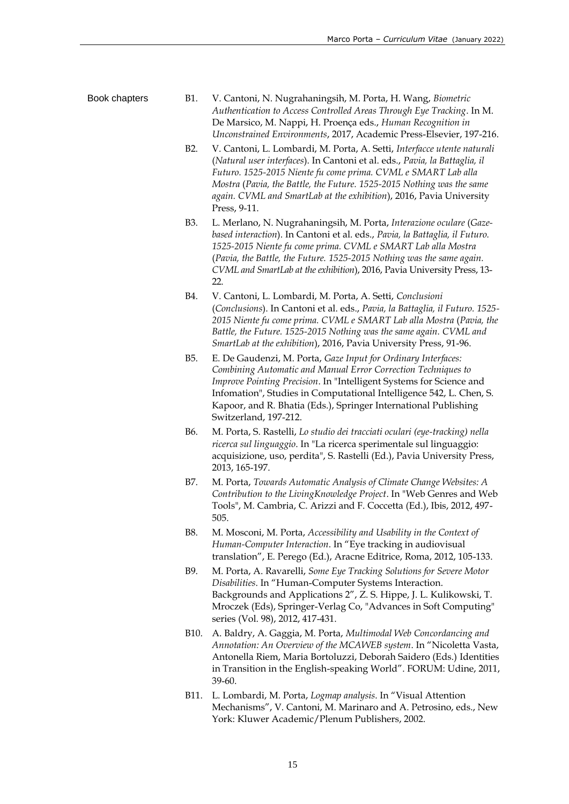- Book chapters B1. V. Cantoni, N. Nugrahaningsih, M. Porta, H. Wang, *Biometric Authentication to Access Controlled Areas Through Eye Tracking*. In M. De Marsico, M. Nappi, H. Proença eds., *Human Recognition in Unconstrained Environments*, 2017, Academic Press-Elsevier, 197-216.
	- B2. V. Cantoni, L. Lombardi, M. Porta, A. Setti, *Interfacce utente naturali*  (*Natural user interfaces*). In Cantoni et al. eds., *Pavia, la Battaglia, il Futuro. 1525-2015 Niente fu come prima. CVML e SMART Lab alla Mostra* (*Pavia, the Battle, the Future. 1525-2015 Nothing was the same again. CVML and SmartLab at the exhibition*), 2016, Pavia University Press, 9-11.
	- B3. L. Merlano, N. Nugrahaningsih, M. Porta, *Interazione oculare* (*Gazebased interaction*). In Cantoni et al. eds., *Pavia, la Battaglia, il Futuro. 1525-2015 Niente fu come prima. CVML e SMART Lab alla Mostra* (*Pavia, the Battle, the Future. 1525-2015 Nothing was the same again. CVML and SmartLab at the exhibition*), 2016, Pavia University Press, 13- 22.
	- B4. V. Cantoni, L. Lombardi, M. Porta, A. Setti, *Conclusioni* (*Conclusions*). In Cantoni et al. eds., *Pavia, la Battaglia, il Futuro. 1525- 2015 Niente fu come prima. CVML e SMART Lab alla Mostra* (*Pavia, the Battle, the Future. 1525-2015 Nothing was the same again. CVML and SmartLab at the exhibition*), 2016, Pavia University Press, 91-96.
	- B5. E. De Gaudenzi, M. Porta, *Gaze Input for Ordinary Interfaces: Combining Automatic and Manual Error Correction Techniques to Improve Pointing Precision*. In "Intelligent Systems for Science and Infomation", Studies in Computational Intelligence 542, L. Chen, S. Kapoor, and R. Bhatia (Eds.), Springer International Publishing Switzerland, 197-212.
	- B6. M. Porta, S. Rastelli, *Lo studio dei tracciati oculari (eye-tracking) nella ricerca sul linguaggio*. In "La ricerca sperimentale sul linguaggio: acquisizione, uso, perdita", S. Rastelli (Ed.), Pavia University Press, 2013, 165-197.
	- B7. M. Porta, *Towards Automatic Analysis of Climate Change Websites: A Contribution to the LivingKnowledge Project*. In "Web Genres and Web Tools", M. Cambria, C. Arizzi and F. Coccetta (Ed.), Ibis, 2012, 497- 505.
	- B8. M. Mosconi, M. Porta, *Accessibility and Usability in the Context of Human-Computer Interaction*. In "Eye tracking in audiovisual translation", E. Perego (Ed.), Aracne Editrice, Roma, 2012, 105-133.
	- B9. M. Porta, A. Ravarelli, *Some Eye Tracking Solutions for Severe Motor Disabilities*. In "Human-Computer Systems Interaction. Backgrounds and Applications 2", Z. S. Hippe, J. L. Kulikowski, T. Mroczek (Eds), Springer-Verlag Co, "Advances in Soft Computing" series (Vol. 98), 2012, 417-431.
	- B10. A. Baldry, A. Gaggia, M. Porta, *Multimodal Web Concordancing and Annotation: An Overview of the MCAWEB system*. In "Nicoletta Vasta, Antonella Riem, Maria Bortoluzzi, Deborah Saidero (Eds.) Identities in Transition in the English-speaking World". FORUM: Udine, 2011, 39-60.
	- B11. L. Lombardi, M. Porta, *Logmap analysis*. In "Visual Attention Mechanisms", V. Cantoni, M. Marinaro and A. Petrosino, eds., New York: Kluwer Academic/Plenum Publishers, 2002.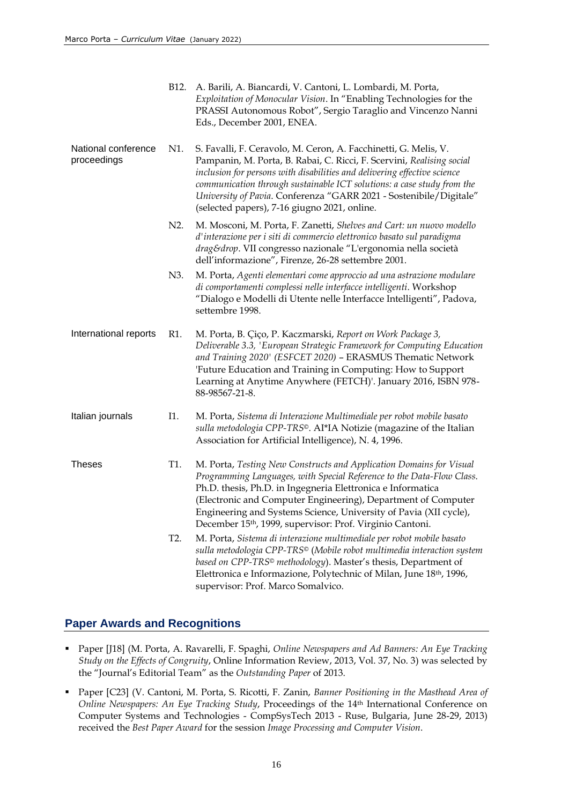|                                    | B <sub>12</sub> . | A. Barili, A. Biancardi, V. Cantoni, L. Lombardi, M. Porta,<br>Exploitation of Monocular Vision. In "Enabling Technologies for the<br>PRASSI Autonomous Robot", Sergio Taraglio and Vincenzo Nanni<br>Eds., December 2001, ENEA.                                                                                                                                                                                           |
|------------------------------------|-------------------|----------------------------------------------------------------------------------------------------------------------------------------------------------------------------------------------------------------------------------------------------------------------------------------------------------------------------------------------------------------------------------------------------------------------------|
| National conference<br>proceedings | N1.               | S. Favalli, F. Ceravolo, M. Ceron, A. Facchinetti, G. Melis, V.<br>Pampanin, M. Porta, B. Rabai, C. Ricci, F. Scervini, Realising social<br>inclusion for persons with disabilities and delivering effective science<br>communication through sustainable ICT solutions: a case study from the<br>University of Pavia. Conferenza "GARR 2021 - Sostenibile/Digitale"<br>(selected papers), 7-16 giugno 2021, online.       |
|                                    | N2.               | M. Mosconi, M. Porta, F. Zanetti, Shelves and Cart: un nuovo modello<br>d'interazione per i siti di commercio elettronico basato sul paradigma<br>drag&drop. VII congresso nazionale "L'ergonomia nella società<br>dell'informazione", Firenze, 26-28 settembre 2001.                                                                                                                                                      |
|                                    | N3.               | M. Porta, Agenti elementari come approccio ad una astrazione modulare<br>di comportamenti complessi nelle interfacce intelligenti. Workshop<br>"Dialogo e Modelli di Utente nelle Interfacce Intelligenti", Padova,<br>settembre 1998.                                                                                                                                                                                     |
| International reports              | R1.               | M. Porta, B. Çiço, P. Kaczmarski, Report on Work Package 3,<br>Deliverable 3.3, 'European Strategic Framework for Computing Education<br>and Training 2020' (ESFCET 2020) - ERASMUS Thematic Network<br>'Future Education and Training in Computing: How to Support<br>Learning at Anytime Anywhere (FETCH)'. January 2016, ISBN 978-<br>88-98567-21-8.                                                                    |
| Italian journals                   | I1.               | M. Porta, Sistema di Interazione Multimediale per robot mobile basato<br>sulla metodologia CPP-TRS®. AI*IA Notizie (magazine of the Italian<br>Association for Artificial Intelligence), N. 4, 1996.                                                                                                                                                                                                                       |
| <b>Theses</b>                      | T1.               | M. Porta, Testing New Constructs and Application Domains for Visual<br>Programming Languages, with Special Reference to the Data-Flow Class.<br>Ph.D. thesis, Ph.D. in Ingegneria Elettronica e Informatica<br>(Electronic and Computer Engineering), Department of Computer<br>Engineering and Systems Science, University of Pavia (XII cycle),<br>December 15 <sup>th</sup> , 1999, supervisor: Prof. Virginio Cantoni. |
|                                    | T <sub>2</sub> .  | M. Porta, Sistema di interazione multimediale per robot mobile basato<br>sulla metodologia CPP-TRS <sup>®</sup> (Mobile robot multimedia interaction system<br>based on CPP-TRS <sup>®</sup> methodology). Master's thesis, Department of<br>Elettronica e Informazione, Polytechnic of Milan, June 18th, 1996,<br>supervisor: Prof. Marco Somalvico.                                                                      |

## **Paper Awards and Recognitions**

- Paper [J18] (M. Porta, A. Ravarelli, F. Spaghi, *Online Newspapers and Ad Banners: An Eye Tracking Study on the Effects of Congruity*, Online Information Review, 2013, Vol. 37, No. 3) was selected by the "Journal's Editorial Team" as the *Outstanding Paper* of 2013.
- Paper [C23] (V. Cantoni, M. Porta, S. Ricotti, F. Zanin, *Banner Positioning in the Masthead Area of Online Newspapers: An Eye Tracking Study*, Proceedings of the 14th International Conference on Computer Systems and Technologies - CompSysTech 2013 - Ruse, Bulgaria, June 28-29, 2013) received the *Best Paper Award* for the session *Image Processing and Computer Vision*.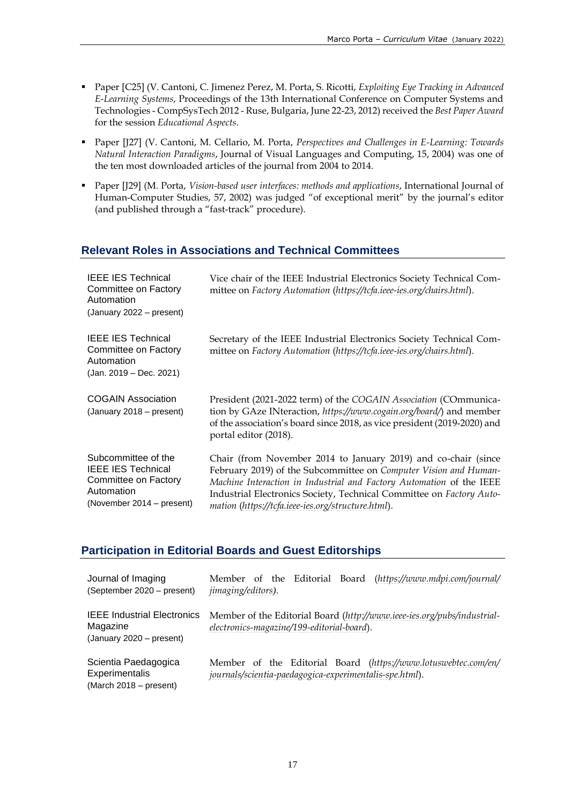- Paper [C25] (V. Cantoni, C. Jimenez Perez, M. Porta, S. Ricotti, *Exploiting Eye Tracking in Advanced E-Learning Systems*, Proceedings of the 13th International Conference on Computer Systems and Technologies - CompSysTech 2012 - Ruse, Bulgaria, June 22-23, 2012) received the *Best Paper Award* for the session *Educational Aspects*.
- Paper [J27] (V. Cantoni, M. Cellario, M. Porta, *Perspectives and Challenges in E-Learning: Towards Natural Interaction Paradigms*, Journal of Visual Languages and Computing, 15, 2004) was one of the ten most downloaded articles of the journal from 2004 to 2014.
- Paper [J29] (M. Porta, *Vision-based user interfaces: methods and applications*, International Journal of Human-Computer Studies, 57, 2002) was judged "of exceptional merit" by the journal's editor (and published through a "fast-track" procedure).

## **Relevant Roles in Associations and Technical Committees**

| <b>IEEE IES Technical</b><br>Committee on Factory<br>Automation<br>(January 2022 – present)                         | Vice chair of the IEEE Industrial Electronics Society Technical Com-<br>mittee on Factory Automation (https://tcfa.ieee-ies.org/chairs.html).                                                                                                                                                                                            |
|---------------------------------------------------------------------------------------------------------------------|------------------------------------------------------------------------------------------------------------------------------------------------------------------------------------------------------------------------------------------------------------------------------------------------------------------------------------------|
| <b>IEEE IES Technical</b><br>Committee on Factory<br>Automation<br>(Jan. 2019 – Dec. 2021)                          | Secretary of the IEEE Industrial Electronics Society Technical Com-<br>mittee on Factory Automation (https://tcfa.ieee-ies.org/chairs.html).                                                                                                                                                                                             |
| <b>COGAIN Association</b><br>(January 2018 - present)                                                               | President (2021-2022 term) of the COGAIN Association (COmmunica-<br>tion by GAze INteraction, https://www.cogain.org/board/) and member<br>of the association's board since 2018, as vice president (2019-2020) and<br>portal editor (2018).                                                                                             |
| Subcommittee of the<br><b>IEEE IES Technical</b><br>Committee on Factory<br>Automation<br>(November 2014 – present) | Chair (from November 2014 to January 2019) and co-chair (since<br>February 2019) of the Subcommittee on Computer Vision and Human-<br>Machine Interaction in Industrial and Factory Automation of the IEEE<br>Industrial Electronics Society, Technical Committee on Factory Auto-<br>mation (https://tcfa.ieee-ies.org/structure.html). |

## **Participation in Editorial Boards and Guest Editorships**

| Journal of Imaging<br>(September 2020 – present)                           | Member of the Editorial Board (https://www.mdpi.com/journal/<br><i>jimaging/editors).</i>                                 |
|----------------------------------------------------------------------------|---------------------------------------------------------------------------------------------------------------------------|
| <b>IEEE Industrial Electronics</b><br>Magazine<br>(January 2020 - present) | Member of the Editorial Board (http://www.ieee-ies.org/pubs/industrial-<br>electronics-magazine/199-editorial-board).     |
| Scientia Paedagogica<br>Experimentalis<br>(March 2018 – present)           | Member of the Editorial Board (https://www.lotuswebtec.com/en/<br>journals/scientia-paedagogica-experimentalis-spe.html). |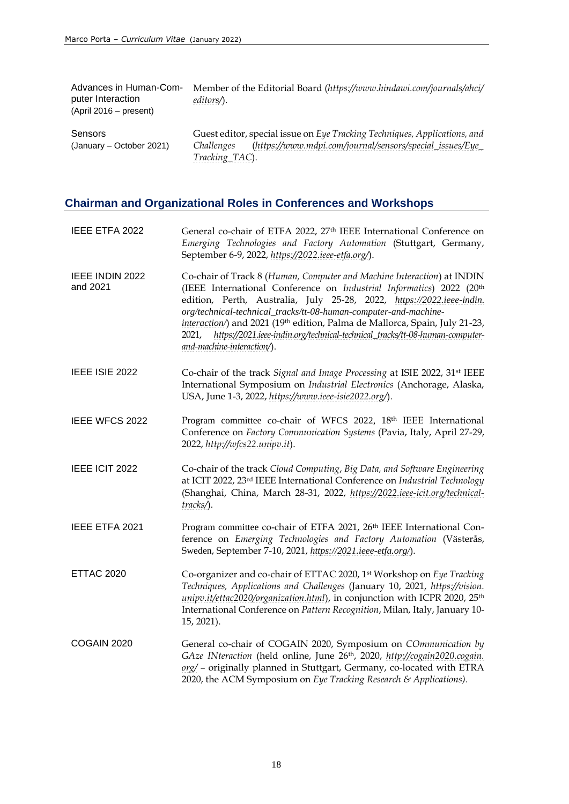| Advances in Human-Com-<br>puter Interaction<br>$(April 2016 - present)$ | Member of the Editorial Board (https://www.hindawi.com/journals/ahci/<br>editors $\Lambda$ .                                                                           |
|-------------------------------------------------------------------------|------------------------------------------------------------------------------------------------------------------------------------------------------------------------|
| Sensors<br>(January – October 2021)                                     | Guest editor, special issue on Eye Tracking Techniques, Applications, and<br>(https://www.mdpi.com/journal/sensors/special_issues/Eye_<br>Challenges<br>Tracking_TAC). |

# **Chairman and Organizational Roles in Conferences and Workshops**

| IEEE ETFA 2022              | General co-chair of ETFA 2022, 27 <sup>th</sup> IEEE International Conference on<br>Emerging Technologies and Factory Automation (Stuttgart, Germany,<br>September 6-9, 2022, https://2022.ieee-etfa.org/).                                                                                                                                                                                                                                                                                       |
|-----------------------------|---------------------------------------------------------------------------------------------------------------------------------------------------------------------------------------------------------------------------------------------------------------------------------------------------------------------------------------------------------------------------------------------------------------------------------------------------------------------------------------------------|
| IEEE INDIN 2022<br>and 2021 | Co-chair of Track 8 (Human, Computer and Machine Interaction) at INDIN<br>(IEEE International Conference on Industrial Informatics) 2022 (20th<br>edition, Perth, Australia, July 25-28, 2022, https://2022.ieee-indin.<br>org/technical-technical_tracks/tt-08-human-computer-and-machine-<br>interaction/) and 2021 (19th edition, Palma de Mallorca, Spain, July 21-23,<br>https://2021.ieee-indin.org/technical-technical_tracks/tt-08-human-computer-<br>2021,<br>and-machine-interaction/). |
| IEEE ISIE 2022              | Co-chair of the track Signal and Image Processing at ISIE 2022, 31st IEEE<br>International Symposium on Industrial Electronics (Anchorage, Alaska,<br>USA, June 1-3, 2022, https://www.ieee-isie2022.org/).                                                                                                                                                                                                                                                                                       |
| IEEE WFCS 2022              | Program committee co-chair of WFCS 2022, 18th IEEE International<br>Conference on Factory Communication Systems (Pavia, Italy, April 27-29,<br>2022, http://wfcs22.unipv.it).                                                                                                                                                                                                                                                                                                                     |
| IEEE ICIT 2022              | Co-chair of the track Cloud Computing, Big Data, and Software Engineering<br>at ICIT 2022, 23 <sup>rd</sup> IEEE International Conference on Industrial Technology<br>(Shanghai, China, March 28-31, 2022, https://2022.ieee-icit.org/technical-<br>tracks/).                                                                                                                                                                                                                                     |
| IEEE ETFA 2021              | Program committee co-chair of ETFA 2021, 26th IEEE International Con-<br>ference on Emerging Technologies and Factory Automation (Västerås,<br>Sweden, September 7-10, 2021, https://2021.ieee-etfa.org/).                                                                                                                                                                                                                                                                                        |
| <b>ETTAC 2020</b>           | Co-organizer and co-chair of ETTAC 2020, 1st Workshop on Eye Tracking<br>Techniques, Applications and Challenges (January 10, 2021, https://vision.<br>unipv.it/ettac2020/organization.html), in conjunction with ICPR 2020, 25 <sup>th</sup><br>International Conference on Pattern Recognition, Milan, Italy, January 10-<br>15, 2021).                                                                                                                                                         |
| COGAIN 2020                 | General co-chair of COGAIN 2020, Symposium on COmmunication by<br>GAze INteraction (held online, June 26th, 2020, http://cogain2020.cogain.<br>org/ - originally planned in Stuttgart, Germany, co-located with ETRA<br>2020, the ACM Symposium on Eye Tracking Research & Applications).                                                                                                                                                                                                         |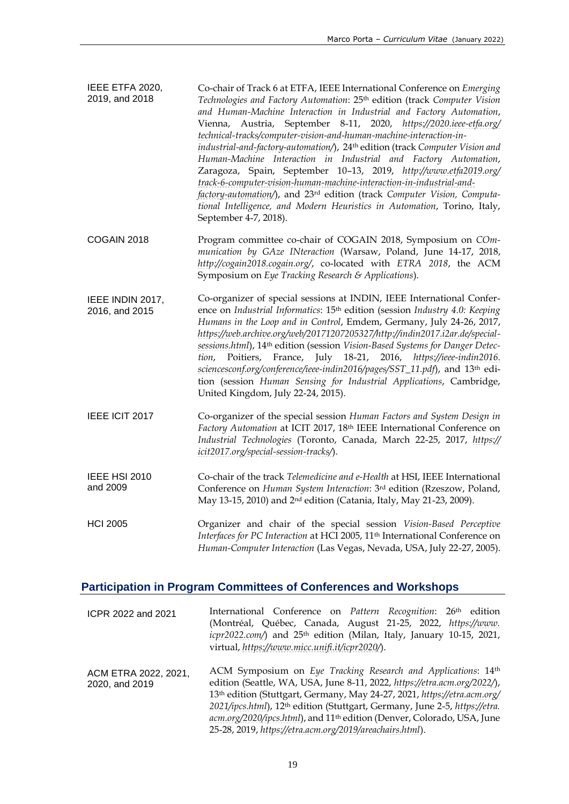| IEEE ETFA 2020,<br>2019, and 2018  | Co-chair of Track 6 at ETFA, IEEE International Conference on Emerging<br>Technologies and Factory Automation: 25th edition (track Computer Vision<br>and Human-Machine Interaction in Industrial and Factory Automation,<br>Vienna, Austria, September 8-11, 2020, https://2020.ieee-etfa.org/<br>technical-tracks/computer-vision-and-human-machine-interaction-in-<br>industrial-and-factory-automation/), 24th edition (track Computer Vision and<br>Human-Machine Interaction in Industrial and Factory Automation,<br>Zaragoza, Spain, September 10-13, 2019, http://www.etfa2019.org/<br>track-6-computer-vision-human-machine-interaction-in-industrial-and-<br>factory-automation/), and 23rd edition (track Computer Vision, Computa-<br>tional Intelligence, and Modern Heuristics in Automation, Torino, Italy,<br>September 4-7, 2018). |
|------------------------------------|------------------------------------------------------------------------------------------------------------------------------------------------------------------------------------------------------------------------------------------------------------------------------------------------------------------------------------------------------------------------------------------------------------------------------------------------------------------------------------------------------------------------------------------------------------------------------------------------------------------------------------------------------------------------------------------------------------------------------------------------------------------------------------------------------------------------------------------------------|
| COGAIN 2018                        | Program committee co-chair of COGAIN 2018, Symposium on COm-<br>munication by GAze INteraction (Warsaw, Poland, June 14-17, 2018,<br>http://cogain2018.cogain.org/, co-located with ETRA 2018, the ACM<br>Symposium on Eye Tracking Research & Applications).                                                                                                                                                                                                                                                                                                                                                                                                                                                                                                                                                                                        |
| IEEE INDIN 2017,<br>2016, and 2015 | Co-organizer of special sessions at INDIN, IEEE International Confer-<br>ence on Industrial Informatics: 15 <sup>th</sup> edition (session Industry 4.0: Keeping<br>Humans in the Loop and in Control, Emdem, Germany, July 24-26, 2017,<br>https://web.archive.org/web/20171207205327/http://indin2017.i2ar.de/special-<br>sessions.html), 14th edition (session Vision-Based Systems for Danger Detec-<br>Poitiers, France, July 18-21, 2016, https://ieee-indin2016.<br>tion,<br>sciencesconf.org/conference/ieee-indin2016/pages/SST_11.pdf), and 13th edi-<br>tion (session Human Sensing for Industrial Applications, Cambridge,<br>United Kingdom, July 22-24, 2015).                                                                                                                                                                         |
| IEEE ICIT 2017                     | Co-organizer of the special session Human Factors and System Design in<br>Factory Automation at ICIT 2017, 18th IEEE International Conference on<br>Industrial Technologies (Toronto, Canada, March 22-25, 2017, https://<br>icit2017.org/special-session-tracks/).                                                                                                                                                                                                                                                                                                                                                                                                                                                                                                                                                                                  |
| <b>IEEE HSI 2010</b><br>and 2009   | Co-chair of the track Telemedicine and e-Health at HSI, IEEE International<br>Conference on Human System Interaction: 3rd edition (Rzeszow, Poland,<br>May 13-15, 2010) and 2 <sup>nd</sup> edition (Catania, Italy, May 21-23, 2009).                                                                                                                                                                                                                                                                                                                                                                                                                                                                                                                                                                                                               |
| <b>HCI 2005</b>                    | Organizer and chair of the special session Vision-Based Perceptive<br>Interfaces for PC Interaction at HCI 2005, 11 <sup>th</sup> International Conference on<br>Human-Computer Interaction (Las Vegas, Nevada, USA, July 22-27, 2005).                                                                                                                                                                                                                                                                                                                                                                                                                                                                                                                                                                                                              |

# **Participation in Program Committees of Conferences and Workshops**

| ICPR 2022 and 2021                     | International Conference on Pattern Recognition: 26 <sup>th</sup> edition<br>(Montréal, Québec, Canada, August 21-25, 2022, https://www.<br>icpr2022.com/) and 25 <sup>th</sup> edition (Milan, Italy, January 10-15, 2021,<br>virtual, https://www.micc.unifi.it/icpr2020/).                                                                                                                                                                                     |
|----------------------------------------|-------------------------------------------------------------------------------------------------------------------------------------------------------------------------------------------------------------------------------------------------------------------------------------------------------------------------------------------------------------------------------------------------------------------------------------------------------------------|
| ACM ETRA 2022, 2021,<br>2020, and 2019 | ACM Symposium on Eye Tracking Research and Applications: 14th<br>edition (Seattle, WA, USA, June 8-11, 2022, https://etra.acm.org/2022/),<br>13th edition (Stuttgart, Germany, May 24-27, 2021, https://etra.acm.org/<br>2021/ipcs.html), 12 <sup>th</sup> edition (Stuttgart, Germany, June 2-5, https://etra.<br>acm.org/2020/ipcs.html), and 11 <sup>th</sup> edition (Denver, Colorado, USA, June<br>25-28, 2019, https://etra.acm.org/2019/areachairs.html). |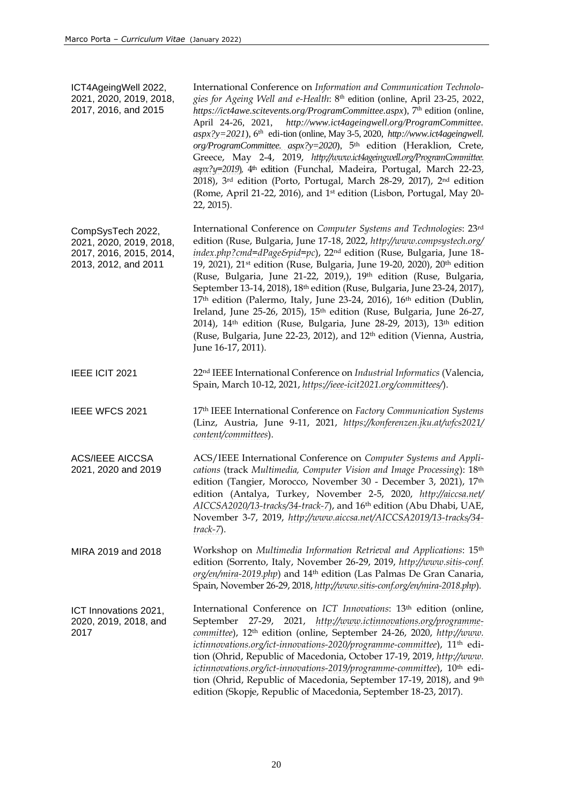ICT4AgeingWell 2022, 2021, 2020, 2019, 2018, 2017, 2016, and 2015 International Conference on *Information and Communication Technologies for Ageing Well and e-Health*: 8th edition (online, April 23-25, 2022, <https://ict4awe.scitevents.org/ProgramCommittee.aspx>), 7<sup>th</sup> edition (online, April 24-26, 2021, *[http://www.ict4ageingwell.org/ProgramCommittee.](http://www.ict4ageingwell.org/ProgramCommittee.aspx?y=2021)*  $a$ spx?y=2021), 6<sup>th</sup> edi-tion (online, May 3-5, 2020, *[http://www.ict4ageingwell.](http://www.ict4ageingwell.org/ProgramCommittee.aspx?y=2020) [org/ProgramCommittee. aspx?y=2020](http://www.ict4ageingwell.org/ProgramCommittee.aspx?y=2020)*), 5 th edition (Heraklion, Crete, Greece, May 2-4, 2019, *[http://www.ict4ageingwell.org/ProgramCommittee.](http://www.ict4ageingwell.org/ProgramCommittee.aspx?y=2019) [aspx?y=2019](http://www.ict4ageingwell.org/ProgramCommittee.aspx?y=2019)*)*,* 4 th edition (Funchal, Madeira, Portugal, March 22-23, 2018), 3 rd edition (Porto, Portugal, March 28-29, 2017), 2 nd edition (Rome, April 21-22, 2016), and 1 st edition (Lisbon, Portugal, May 20- 22, 2015). CompSysTech 2022, 2021, 2020, 2019, 2018, 2017, 2016, 2015, 2014, 2013, 2012, and 2011 International Conference on *Computer Systems and Technologies*: 23rd edition (Ruse, Bulgaria, June 17-18, 2022, *[http://www.compsystech.org/](http://www.compsystech.org/index.php?cmd=dPage&pid=pc) [index.php?cmd=dPage&pid=pc](http://www.compsystech.org/index.php?cmd=dPage&pid=pc)*), 22nd edition (Ruse, Bulgaria, June 18- 19, 2021), 21<sup>st</sup> edition (Ruse, Bulgaria, June 19-20, 2020), 20<sup>th</sup> edition (Ruse, Bulgaria, June 21-22, 2019,), 19th edition (Ruse, Bulgaria, September 13-14, 2018), 18th edition (Ruse, Bulgaria, June 23-24, 2017),  $17<sup>th</sup>$  edition (Palermo, Italy, June 23-24, 2016),  $16<sup>th</sup>$  edition (Dublin, Ireland, June 25-26, 2015), 15<sup>th</sup> edition (Ruse, Bulgaria, June 26-27, 2014), 14<sup>th</sup> edition (Ruse, Bulgaria, June 28-29, 2013), 13<sup>th</sup> edition (Ruse, Bulgaria, June 22-23, 2012), and 12<sup>th</sup> edition (Vienna, Austria, June 16-17, 2011). IEEE ICIT 2021 22nd IEEE International Conference on *Industrial Informatics* (Valencia, Spain, March 10-12, 2021, *<https://ieee-icit2021.org/committees/>*). IEEE WFCS 2021 17th IEEE International Conference on *Factory Communication Systems* (Linz, Austria, June 9-11, 2021, *[https://konferenzen.jku.at/wfcs2021/](https://konferenzen.jku.at/wfcs2021/content/committees) [content/committees](https://konferenzen.jku.at/wfcs2021/content/committees)*). ACS/IEEE AICCSA 2021, 2020 and 2019 ACS/IEEE International Conference on *Computer Systems and Applications* (track *Multimedia, Computer Vision and Image Processing*): 18th edition (Tangier, Morocco, November 30 - December 3, 2021), 17<sup>th</sup> edition (Antalya, Turkey, November 2-5, 2020, *[http://aiccsa.net/](http://aiccsa.net/AICCSA2020/13-tracks/34-track-7) [AICCSA2020/13-tracks/34-track-7](http://aiccsa.net/AICCSA2020/13-tracks/34-track-7)*), and 16th edition (Abu Dhabi, UAE, November 3-7, 2019, *[http://www.aiccsa.net/AICCSA2019/13-tracks/34](http://www.aiccsa.net/AICCSA2019/13-tracks/34-track-7) [track-7](http://www.aiccsa.net/AICCSA2019/13-tracks/34-track-7)*). MIRA 2019 and 2018 Workshop on *Multimedia Information Retrieval and Applications*: 15th edition (Sorrento, Italy, November 26-29, 2019, *[http://www.sitis-conf.](http://www.sitis-conf.org/en/mira-2019.php) [org/en/mira-2019.php](http://www.sitis-conf.org/en/mira-2019.php)*) and 14th edition (Las Palmas De Gran Canaria, Spain, November 26-29, 2018, *<http://www.sitis-conf.org/en/mira-2018.php>*). ICT Innovations 2021, 2020, 2019, 2018, and 2017 International Conference on *ICT Innovations*: 13th edition (online, September 27-29, 2021, *[http://www.ictinnovations.org/programme](http://www.ictinnovations.org/programme-committee)[committee](http://www.ictinnovations.org/programme-committee)*), 12th edition (online, September 24-26, 2020, *[http://www.](http://www.ictinnovations.org/ict-innovations-2020/programme-committee) [ictinnovations.org/ict-innovations-2020/programme-committee](http://www.ictinnovations.org/ict-innovations-2020/programme-committee)*), 11th edition (Ohrid, Republic of Macedonia, October 17-19, 2019, *[http://www.](http://www.ictinnovations.org/ict-innovations-2019/programme-committee) [ictinnovations.org/ict-innovations-2019/programme-committee](http://www.ictinnovations.org/ict-innovations-2019/programme-committee)*), 10th edition (Ohrid, Republic of Macedonia, September 17-19, 2018), and 9th edition (Skopje, Republic of Macedonia, September 18-23, 2017).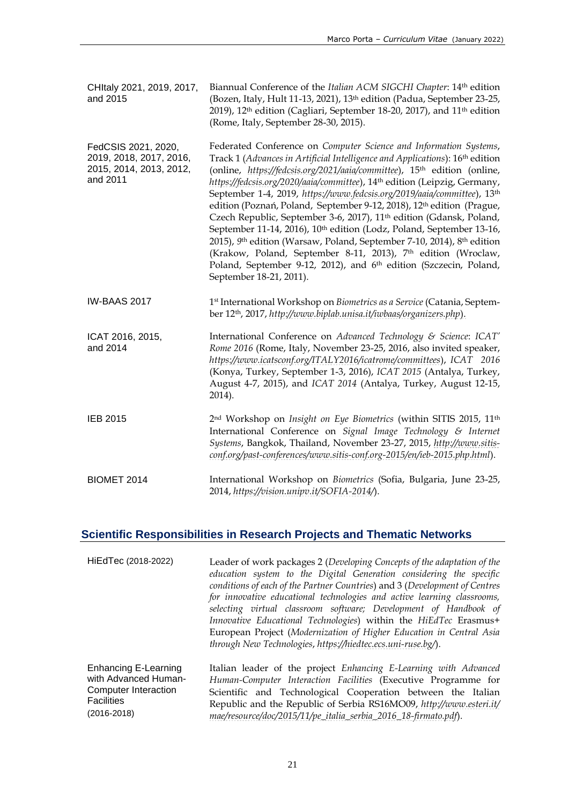| CHItaly 2021, 2019, 2017,<br>and 2015                                                 | Biannual Conference of the Italian ACM SIGCHI Chapter: 14th edition<br>(Bozen, Italy, Hult 11-13, 2021), 13 <sup>th</sup> edition (Padua, September 23-25,<br>2019), 12 <sup>th</sup> edition (Cagliari, September 18-20, 2017), and 11 <sup>th</sup> edition<br>(Rome, Italy, September 28-30, 2015).                                                                                                                                                                                                                                                                                                                                                                                                                                                                                                                                                                                                                                       |
|---------------------------------------------------------------------------------------|----------------------------------------------------------------------------------------------------------------------------------------------------------------------------------------------------------------------------------------------------------------------------------------------------------------------------------------------------------------------------------------------------------------------------------------------------------------------------------------------------------------------------------------------------------------------------------------------------------------------------------------------------------------------------------------------------------------------------------------------------------------------------------------------------------------------------------------------------------------------------------------------------------------------------------------------|
| FedCSIS 2021, 2020,<br>2019, 2018, 2017, 2016,<br>2015, 2014, 2013, 2012,<br>and 2011 | Federated Conference on Computer Science and Information Systems,<br>Track 1 (Advances in Artificial Intelligence and Applications): 16th edition<br>(online, https://fedcsis.org/2021/aaia/committee), 15 <sup>th</sup> edition (online,<br>https://fedcsis.org/2020/aaia/committee), 14 <sup>th</sup> edition (Leipzig, Germany,<br>September 1-4, 2019, https://www.fedcsis.org/2019/aaia/committee), 13th<br>edition (Poznań, Poland, September 9-12, 2018), 12 <sup>th</sup> edition (Prague,<br>Czech Republic, September 3-6, 2017), 11 <sup>th</sup> edition (Gdansk, Poland,<br>September 11-14, 2016), 10 <sup>th</sup> edition (Lodz, Poland, September 13-16,<br>2015), 9th edition (Warsaw, Poland, September 7-10, 2014), 8th edition<br>(Krakow, Poland, September 8-11, 2013), 7 <sup>th</sup> edition (Wroclaw,<br>Poland, September 9-12, 2012), and 6 <sup>th</sup> edition (Szczecin, Poland,<br>September 18-21, 2011). |
| <b>IW-BAAS 2017</b>                                                                   | 1 <sup>st</sup> International Workshop on Biometrics as a Service (Catania, Septem-<br>ber 12th, 2017, http://www.biplab.unisa.it/iwbaas/organizers.php).                                                                                                                                                                                                                                                                                                                                                                                                                                                                                                                                                                                                                                                                                                                                                                                    |
| ICAT 2016, 2015,<br>and 2014                                                          | International Conference on Advanced Technology & Science: ICAT'<br>Rome 2016 (Rome, Italy, November 23-25, 2016, also invited speaker,<br>https://www.icatsconf.org/ITALY2016/icatrome/committees), ICAT 2016<br>(Konya, Turkey, September 1-3, 2016), ICAT 2015 (Antalya, Turkey,<br>August 4-7, 2015), and ICAT 2014 (Antalya, Turkey, August 12-15,<br>2014).                                                                                                                                                                                                                                                                                                                                                                                                                                                                                                                                                                            |
| <b>IEB 2015</b>                                                                       | 2nd Workshop on Insight on Eye Biometrics (within SITIS 2015, 11th<br>International Conference on Signal Image Technology & Internet<br>Systems, Bangkok, Thailand, November 23-27, 2015, http://www.sitis-<br>conf.org/past-conferences/www.sitis-conf.org-2015/en/ieb-2015.php.html).                                                                                                                                                                                                                                                                                                                                                                                                                                                                                                                                                                                                                                                      |
| BIOMET 2014                                                                           | International Workshop on Biometrics (Sofia, Bulgaria, June 23-25,<br>2014, https://vision.unipv.it/SOFIA-2014/).                                                                                                                                                                                                                                                                                                                                                                                                                                                                                                                                                                                                                                                                                                                                                                                                                            |

# **Scientific Responsibilities in Research Projects and Thematic Networks**

| HiEdTec (2018-2022)         | Leader of work packages 2 (Developing Concepts of the adaptation of the<br>education system to the Digital Generation considering the specific<br>conditions of each of the Partner Countries) and 3 (Development of Centres<br>for innovative educational technologies and active learning classrooms,<br>selecting virtual classroom software; Development of Handbook of<br>Innovative Educational Technologies) within the HiEdTec Erasmus+<br>European Project (Modernization of Higher Education in Central Asia<br>through New Technologies, https://hiedtec.ecs.uni-ruse.bg/). |
|-----------------------------|----------------------------------------------------------------------------------------------------------------------------------------------------------------------------------------------------------------------------------------------------------------------------------------------------------------------------------------------------------------------------------------------------------------------------------------------------------------------------------------------------------------------------------------------------------------------------------------|
| <b>Enhancing E-Learning</b> | Italian leader of the project Enhancing E-Learning with Advanced                                                                                                                                                                                                                                                                                                                                                                                                                                                                                                                       |
| with Advanced Human-        | Human-Computer Interaction Facilities (Executive Programme for                                                                                                                                                                                                                                                                                                                                                                                                                                                                                                                         |
| Computer Interaction        | Scientific and Technological Cooperation between the Italian                                                                                                                                                                                                                                                                                                                                                                                                                                                                                                                           |
| <b>Facilities</b>           | Republic and the Republic of Serbia RS16MO09, http://www.esteri.it/                                                                                                                                                                                                                                                                                                                                                                                                                                                                                                                    |
| $(2016 - 2018)$             | mae/resource/doc/2015/11/pe_italia_serbia_2016_18-firmato.pdf).                                                                                                                                                                                                                                                                                                                                                                                                                                                                                                                        |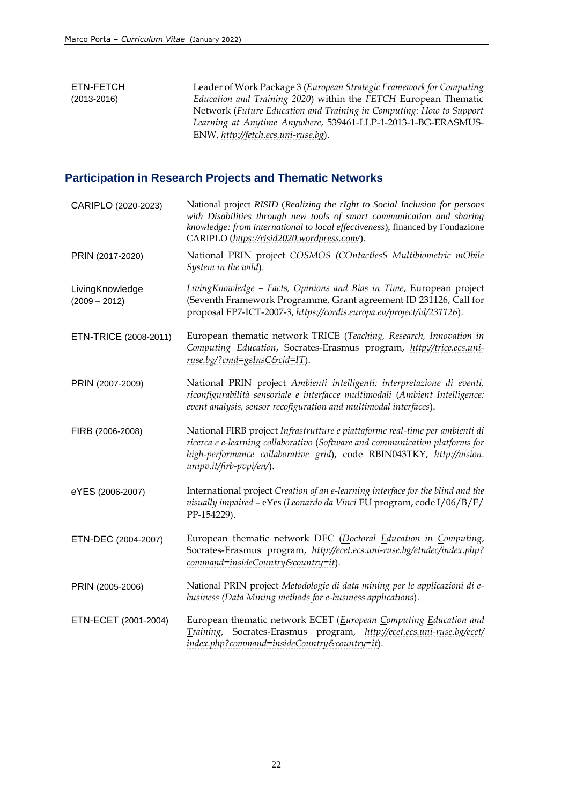#### ETN-FETCH (2013-2016) Leader of Work Package 3 (*European Strategic Framework for Computing Education and Training 2020*) within the *FETCH* European Thematic Network (*Future Education and Training in Computing: How to Support Learning at Anytime Anywhere*, 539461-LLP-1-2013-1-BG-ERASMUS-ENW, *[http://fetch.ecs.uni-ruse.bg](http://fetch.ecs.uni-ruse.bg/)*).

## **Participation in Research Projects and Thematic Networks**

| CARIPLO (2020-2023)                | National project RISID (Realizing the rIght to Social Inclusion for persons<br>with Disabilities through new tools of smart communication and sharing<br>knowledge: from international to local effectiveness), financed by Fondazione<br>CARIPLO (https://risid2020.wordpress.com/). |
|------------------------------------|---------------------------------------------------------------------------------------------------------------------------------------------------------------------------------------------------------------------------------------------------------------------------------------|
| PRIN (2017-2020)                   | National PRIN project COSMOS (COntactlesS Multibiometric mObile<br>System in the wild).                                                                                                                                                                                               |
| LivingKnowledge<br>$(2009 - 2012)$ | Living Knowledge - Facts, Opinions and Bias in Time, European project<br>(Seventh Framework Programme, Grant agreement ID 231126, Call for<br>proposal FP7-ICT-2007-3, https://cordis.europa.eu/project/id/231126).                                                                   |
| ETN-TRICE (2008-2011)              | European thematic network TRICE (Teaching, Research, Innovation in<br>Computing Education, Socrates-Erasmus program, http://trice.ecs.uni-<br>ruse.bg/?cmd=gsInsC&cid=IT).                                                                                                            |
| PRIN (2007-2009)                   | National PRIN project Ambienti intelligenti: interpretazione di eventi,<br>riconfigurabilità sensoriale e interfacce multimodali (Ambient Intelligence:<br>event analysis, sensor recofiguration and multimodal interfaces).                                                          |
| FIRB (2006-2008)                   | National FIRB project Infrastrutture e piattaforme real-time per ambienti di<br>ricerca e e-learning collaborativo (Software and communication platforms for<br>high-performance collaborative grid), code RBIN043TKY, http://vision.<br>unipv.it/firb-pvpi/en/).                     |
| eYES (2006-2007)                   | International project Creation of an e-learning interface for the blind and the<br>visually impaired - eYes (Leonardo da Vinci EU program, code I/06/B/F/<br>PP-154229).                                                                                                              |
| ETN-DEC (2004-2007)                | European thematic network DEC (Doctoral Education in Computing,<br>Socrates-Erasmus program, http://ecet.ecs.uni-ruse.bg/etndec/index.php?<br>command=insideCountry&country=it).                                                                                                      |
| PRIN (2005-2006)                   | National PRIN project Metodologie di data mining per le applicazioni di e-<br>business (Data Mining methods for e-business applications).                                                                                                                                             |
| ETN-ECET (2001-2004)               | European thematic network ECET (European Computing Education and<br>Training, Socrates-Erasmus program, http://ecet.ecs.uni-ruse.bg/ecet/<br>index.php?command=insideCountry&country=it).                                                                                             |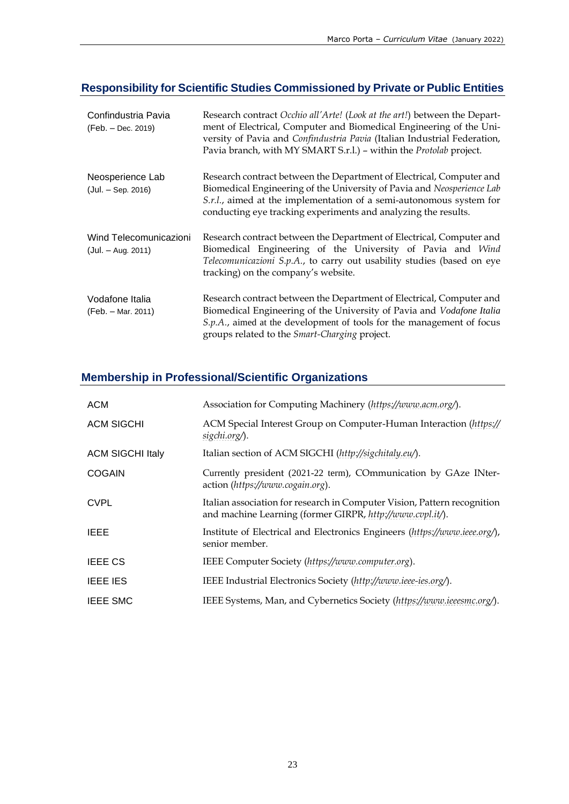# **Responsibility for Scientific Studies Commissioned by Private or Public Entities**

| Confindustria Pavia<br>(Feb. – Dec. 2019)      | Research contract Occhio all'Arte! (Look at the art!) between the Depart-<br>ment of Electrical, Computer and Biomedical Engineering of the Uni-<br>versity of Pavia and Confindustria Pavia (Italian Industrial Federation,<br>Pavia branch, with MY SMART S.r.l.) - within the Protolab project. |
|------------------------------------------------|----------------------------------------------------------------------------------------------------------------------------------------------------------------------------------------------------------------------------------------------------------------------------------------------------|
| Neosperience Lab<br>$(Jul. - Sep. 2016)$       | Research contract between the Department of Electrical, Computer and<br>Biomedical Engineering of the University of Pavia and Neosperience Lab<br>S.r.l., aimed at the implementation of a semi-autonomous system for<br>conducting eye tracking experiments and analyzing the results.            |
| Wind Telecomunicazioni<br>$(Jul. - Aug. 2011)$ | Research contract between the Department of Electrical, Computer and<br>Biomedical Engineering of the University of Pavia and Wind<br>Telecomunicazioni S.p.A., to carry out usability studies (based on eye<br>tracking) on the company's website.                                                |
| Vodafone Italia<br>(Feb. - Mar. 2011)          | Research contract between the Department of Electrical, Computer and<br>Biomedical Engineering of the University of Pavia and Vodafone Italia<br>S.p.A., aimed at the development of tools for the management of focus<br>groups related to the <i>Smart-Charging</i> project.                     |

# **Membership in Professional/Scientific Organizations**

| <b>ACM</b>              | Association for Computing Machinery (https://www.acm.org/).                                                                           |
|-------------------------|---------------------------------------------------------------------------------------------------------------------------------------|
| <b>ACM SIGCHI</b>       | ACM Special Interest Group on Computer-Human Interaction (https://<br>sigchi.org/).                                                   |
| <b>ACM SIGCHI Italy</b> | Italian section of ACM SIGCHI (http://sigchitaly.eu/).                                                                                |
| <b>COGAIN</b>           | Currently president (2021-22 term), COmmunication by GAze INter-<br>action (https://www.cogain.org).                                  |
| <b>CVPL</b>             | Italian association for research in Computer Vision, Pattern recognition<br>and machine Learning (former GIRPR, http://www.cvpl.it/). |
| <b>IEEE</b>             | Institute of Electrical and Electronics Engineers (https://www.ieee.org/),<br>senior member.                                          |
| <b>IEEE CS</b>          | IEEE Computer Society (https://www.computer.org).                                                                                     |
| <b>IEEE IES</b>         | IEEE Industrial Electronics Society (http://www.ieee-ies.org/).                                                                       |
| <b>IEEE SMC</b>         | IEEE Systems, Man, and Cybernetics Society (https://www.ieeesmc.org/).                                                                |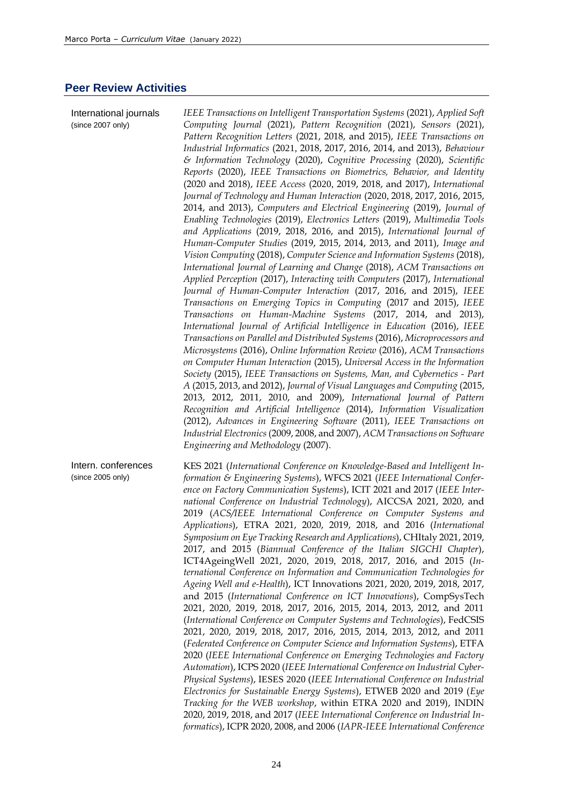#### **Peer Review Activities**

International journals (since 2007 only) *IEEE Transactions on Intelligent Transportation Systems* (2021), *Applied Soft Computing Journal* (2021), *Pattern Recognition* (2021), *Sensors* (2021), *Pattern Recognition Letters* (2021, 2018, and 2015), *IEEE Transactions on Industrial Informatics* (2021, 2018, 2017, 2016, 2014, and 2013), *Behaviour & Information Technology* (2020), *Cognitive Processing* (2020), *Scientific Reports* (2020), *IEEE Transactions on Biometrics, Behavior, and Identity* (2020 and 2018), *IEEE Access* (2020, 2019, 2018, and 2017), *International Journal of Technology and Human Interaction* (2020, 2018, 2017, 2016, 2015, 2014, and 2013), *Computers and Electrical Engineering* (2019), *Journal of Enabling Technologies* (2019), *Electronics Letters* (2019), *Multimedia Tools and Applications* (2019, 2018, 2016, and 2015), *International Journal of Human-Computer Studies* (2019, 2015, 2014, 2013, and 2011), *Image and Vision Computing* (2018), *Computer Science and Information Systems* (2018), *International Journal of Learning and Change* (2018), *ACM Transactions on Applied Perception* (2017), *Interacting with Computers* (2017), *International Journal of Human-Computer Interaction* (2017, 2016, and 2015), *IEEE Transactions on Emerging Topics in Computing* (2017 and 2015), *IEEE Transactions on Human-Machine Systems* (2017, 2014, and 2013), *International Journal of Artificial Intelligence in Education* (2016), *IEEE Transactions on Parallel and Distributed Systems* (2016), *Microprocessors and Microsystems* (2016), *Online Information Review* (2016), *ACM Transactions on Computer Human Interaction* (2015), *Universal Access in the Information Society* (2015), *IEEE Transactions on Systems, Man, and Cybernetics - Part A* (2015, 2013, and 2012), *Journal of Visual Languages and Computing* (2015, 2013, 2012, 2011, 2010, and 2009), *International Journal of Pattern Recognition and Artificial Intelligence* (2014), *Information Visualization* (2012), *Advances in Engineering Software* (2011), *IEEE Transactions on Industrial Electronics* (2009, 2008, and 2007), *ACM Transactions on Software Engineering and Methodology* (2007).

Intern. conferences (since 2005 only) KES 2021 (*International Conference on Knowledge-Based and Intelligent Information & Engineering Systems*), WFCS 2021 (*IEEE International Conference on Factory Communication Systems*), ICIT 2021 and 2017 (*IEEE International Conference on Industrial Technology*), AICCSA 2021, 2020, and 2019 (*ACS/IEEE International Conference on Computer Systems and Applications*), ETRA 2021, 2020, 2019, 2018, and 2016 (*International Symposium on Eye Tracking Research and Applications*), CHItaly 2021, 2019, 2017, and 2015 (*Biannual Conference of the Italian SIGCHI Chapter*), ICT4AgeingWell 2021, 2020, 2019, 2018, 2017, 2016, and 2015 (*International Conference on Information and Communication Technologies for Ageing Well and e-Health*), ICT Innovations 2021, 2020, 2019, 2018, 2017, and 2015 (*International Conference on ICT Innovations*), CompSysTech 2021, 2020, 2019, 2018, 2017, 2016, 2015, 2014, 2013, 2012, and 2011 (*International Conference on Computer Systems and Technologies*), FedCSIS 2021, 2020, 2019, 2018, 2017, 2016, 2015, 2014, 2013, 2012, and 2011 (*Federated Conference on Computer Science and Information Systems*), ETFA 2020 (*IEEE International Conference on Emerging Technologies and Factory Automation*), ICPS 2020 (*IEEE International Conference on Industrial Cyber-Physical Systems*), IESES 2020 (*IEEE International Conference on Industrial Electronics for Sustainable Energy Systems*), ETWEB 2020 and 2019 (*Eye Tracking for the WEB workshop*, within ETRA 2020 and 2019), INDIN 2020, 2019, 2018, and 2017 (*IEEE International Conference on Industrial Informatics*), ICPR 2020, 2008, and 2006 (*IAPR-IEEE International Conference*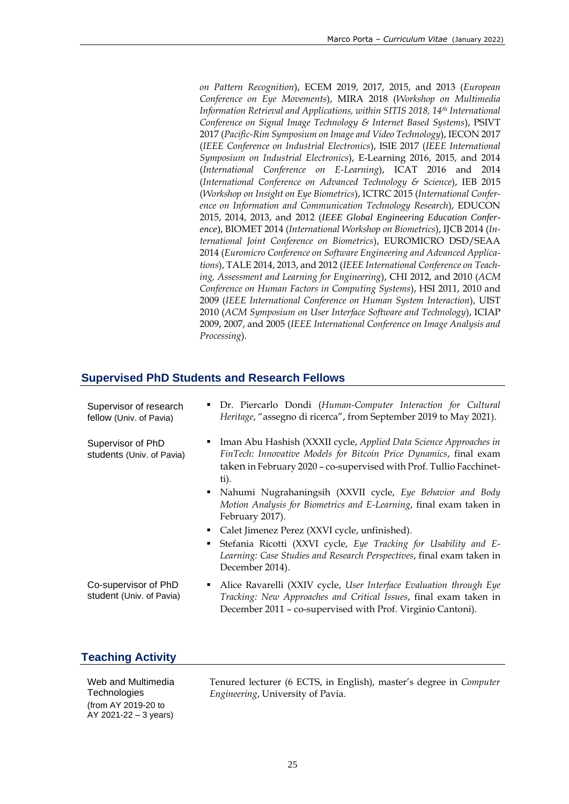*on Pattern Recognition*), ECEM 2019, 2017, 2015, and 2013 (*European Conference on Eye Movements*), MIRA 2018 (*Workshop on Multimedia Information Retrieval and Applications, within SITIS 2018, 14th International Conference on Signal Image Technology & Internet Based Systems*), PSIVT 2017 (*Pacific-Rim Symposium on Image and Video Technology*), IECON 2017 (*IEEE Conference on Industrial Electronics*), ISIE 2017 (*IEEE International Symposium on Industrial Electronics*), E-Learning 2016, 2015, and 2014 (*International Conference on E-Learning*), ICAT 2016 and 2014 (*International Conference on Advanced Technology & Science*), IEB 2015 (*Workshop on Insight on Eye Biometrics*), ICTRC 2015 (*International Conference on Information and Communication Technology Research*), EDUCON 2015, 2014, 2013, and 2012 (*IEEE Global Engineering Education Conference*), BIOMET 2014 (*International Workshop on Biometrics*), IJCB 2014 (*International Joint Conference on Biometrics*), EUROMICRO DSD/SEAA 2014 (*Euromicro Conference on Software Engineering and Advanced Applications*), TALE 2014, 2013, and 2012 (*IEEE International Conference on Teaching, Assessment and Learning for Engineering*), CHI 2012, and 2010 (*ACM Conference on Human Factors in Computing Systems*), HSI 2011, 2010 and 2009 (*IEEE International Conference on Human System Interaction*), UIST 2010 (*ACM Symposium on User Interface Software and Technology*), ICIAP 2009, 2007, and 2005 (*IEEE International Conference on Image Analysis and Processing*).

## **Supervised PhD Students and Research Fellows**

| Supervisor of research<br>fellow (Univ. of Pavia) | • Dr. Piercarlo Dondi (Human-Computer Interaction for Cultural<br>Heritage, "assegno di ricerca", from September 2019 to May 2021).                                                                                                                                                                                                                                                                                                                                                                                                                                                           |
|---------------------------------------------------|-----------------------------------------------------------------------------------------------------------------------------------------------------------------------------------------------------------------------------------------------------------------------------------------------------------------------------------------------------------------------------------------------------------------------------------------------------------------------------------------------------------------------------------------------------------------------------------------------|
| Supervisor of PhD<br>students (Univ. of Pavia)    | Iman Abu Hashish (XXXII cycle, Applied Data Science Approaches in<br>FinTech: Innovative Models for Bitcoin Price Dynamics, final exam<br>taken in February 2020 - co-supervised with Prof. Tullio Facchinet-<br>ti).<br>• Nahumi Nugrahaningsih (XXVII cycle, Eye Behavior and Body<br>Motion Analysis for Biometrics and E-Learning, final exam taken in<br>February 2017).<br>Calet Jimenez Perez (XXVI cycle, unfinished).<br>Stefania Ricotti (XXVI cycle, Eye Tracking for Usability and E-<br>Learning: Case Studies and Research Perspectives, final exam taken in<br>December 2014). |
| Co-supervisor of PhD<br>student (Univ. of Pavia)  | Alice Ravarelli (XXIV cycle, User Interface Evaluation through Eye<br>٠<br>Tracking: New Approaches and Critical Issues, final exam taken in<br>December 2011 - co-supervised with Prof. Virginio Cantoni).                                                                                                                                                                                                                                                                                                                                                                                   |

## **Teaching Activity**

Web and Multimedia **Technologies** (from AY 2019-20 to AY 2021-22 – 3 years)

Tenured lecturer (6 ECTS, in English), master's degree in *Computer Engineering*, University of Pavia.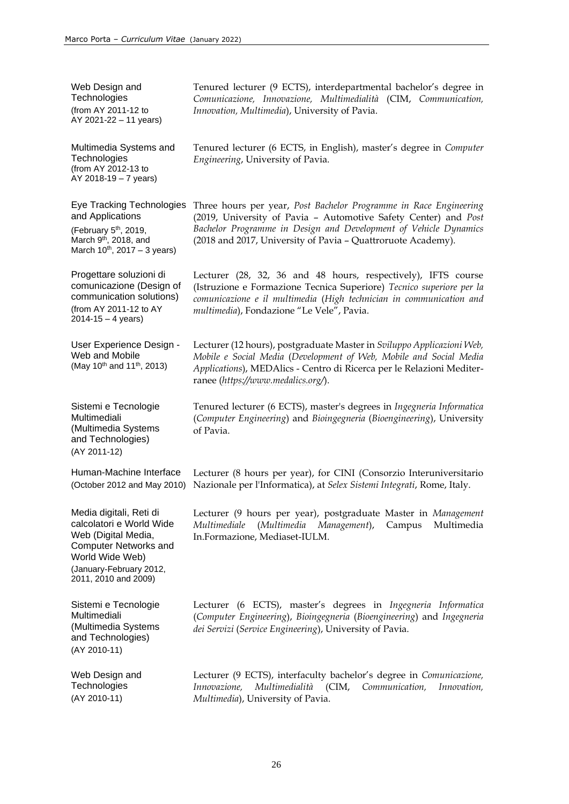| Web Design and<br>Technologies<br>(from AY 2011-12 to<br>AY 2021-22 - 11 years)                                                                                                  | Tenured lecturer (9 ECTS), interdepartmental bachelor's degree in<br>Comunicazione, Innovazione, Multimedialità (CIM, Communication,<br>Innovation, Multimedia), University of Pavia.                                                                                    |
|----------------------------------------------------------------------------------------------------------------------------------------------------------------------------------|--------------------------------------------------------------------------------------------------------------------------------------------------------------------------------------------------------------------------------------------------------------------------|
| Multimedia Systems and<br>Technologies<br>(from AY 2012-13 to<br>$AY 2018-19 - 7 years)$                                                                                         | Tenured lecturer (6 ECTS, in English), master's degree in Computer<br>Engineering, University of Pavia.                                                                                                                                                                  |
| Eye Tracking Technologies<br>and Applications<br>(February 5 <sup>th</sup> , 2019,<br>March 9 <sup>th</sup> , 2018, and<br>March $10^{th}$ , 2017 – 3 years)                     | Three hours per year, Post Bachelor Programme in Race Engineering<br>(2019, University of Pavia - Automotive Safety Center) and Post<br>Bachelor Programme in Design and Development of Vehicle Dynamics<br>(2018 and 2017, University of Pavia - Quattroruote Academy). |
| Progettare soluzioni di<br>comunicazione (Design of<br>communication solutions)<br>(from AY 2011-12 to AY<br>$2014 - 15 - 4$ years)                                              | Lecturer (28, 32, 36 and 48 hours, respectively), IFTS course<br>(Istruzione e Formazione Tecnica Superiore) Tecnico superiore per la<br>comunicazione e il multimedia (High technician in communication and<br>multimedia), Fondazione "Le Vele", Pavia.                |
| User Experience Design -<br>Web and Mobile<br>(May 10 <sup>th</sup> and 11 <sup>th</sup> , 2013)                                                                                 | Lecturer (12 hours), postgraduate Master in Sviluppo Applicazioni Web,<br>Mobile e Social Media (Development of Web, Mobile and Social Media<br>Applications), MEDAlics - Centro di Ricerca per le Relazioni Mediter-<br>ranee (https://www.medalics.org/).              |
| Sistemi e Tecnologie<br>Multimediali<br>(Multimedia Systems<br>and Technologies)<br>(AY 2011-12)                                                                                 | Tenured lecturer (6 ECTS), master's degrees in Ingegneria Informatica<br>(Computer Engineering) and Bioingegneria (Bioengineering), University<br>of Pavia.                                                                                                              |
| Human-Machine Interface<br>(October 2012 and May 2010)                                                                                                                           | Lecturer (8 hours per year), for CINI (Consorzio Interuniversitario<br>Nazionale per l'Informatica), at Selex Sistemi Integrati, Rome, Italy.                                                                                                                            |
| Media digitali, Reti di<br>calcolatori e World Wide<br>Web (Digital Media,<br><b>Computer Networks and</b><br>World Wide Web)<br>(January-February 2012,<br>2011, 2010 and 2009) | Lecturer (9 hours per year), postgraduate Master in Management<br>Multimediale<br>(Multimedia Management),<br>Campus<br>Multimedia<br>In.Formazione, Mediaset-IULM.                                                                                                      |
| Sistemi e Tecnologie<br>Multimediali<br>(Multimedia Systems<br>and Technologies)<br>(AY 2010-11)                                                                                 | Lecturer (6 ECTS), master's degrees in Ingegneria Informatica<br>(Computer Engineering), Bioingegneria (Bioengineering) and Ingegneria<br>dei Servizi (Service Engineering), University of Pavia.                                                                        |
| Web Design and<br>Technologies<br>(AY 2010-11)                                                                                                                                   | Lecturer (9 ECTS), interfaculty bachelor's degree in Comunicazione,<br>Innovazione,<br>Multimedialità (CIM, Communication,<br>Innovation,<br>Multimedia), University of Pavia.                                                                                           |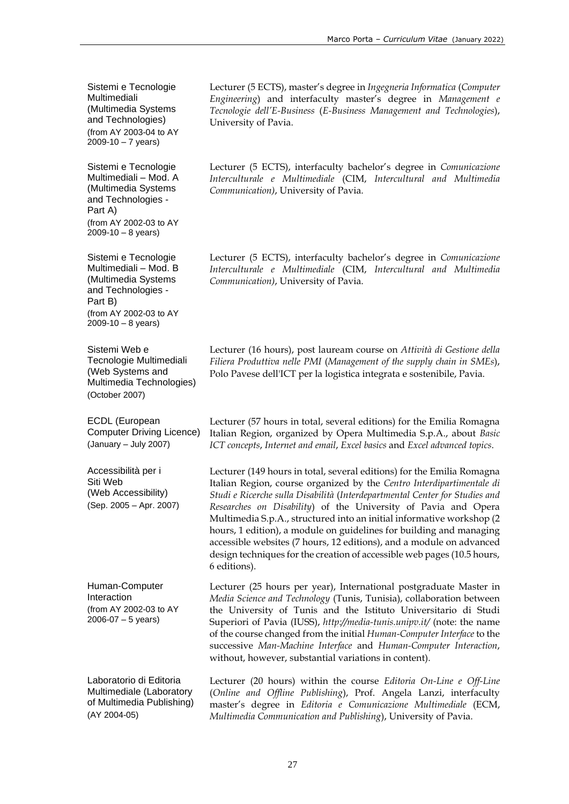Sistemi e Tecnologie Multimediali (Multimedia Systems and Technologies) (from AY 2003-04 to AY  $2009 - 10 - 7$  years)

Sistemi e Tecnologie Multimediali – Mod. A (Multimedia Systems and Technologies - Part A) (from AY 2002-03 to AY  $2009 - 10 - 8$  years)

Sistemi e Tecnologie Multimediali – Mod. B (Multimedia Systems and Technologies - Part B) (from AY 2002-03 to AY  $2009 - 10 - 8$  years)

Sistemi Web e Tecnologie Multimediali (Web Systems and Multimedia Technologies) (October 2007)

ECDL (European Computer Driving Licence) (January – July 2007)

Accessibilità per i Siti Web (Web Accessibility) (Sep. 2005 – Apr. 2007)

Human-Computer Interaction (from AY 2002-03 to AY 2006-07 – 5 years)

Laboratorio di Editoria Multimediale (Laboratory of Multimedia Publishing) (AY 2004-05)

Lecturer (5 ECTS), master's degree in *Ingegneria Informatica* (*Computer Engineering*) and interfaculty master's degree in *Management e Tecnologie dell'E-Business* (*E-Business Management and Technologies*), University of Pavia.

Lecturer (5 ECTS), interfaculty bachelor's degree in *Comunicazione Interculturale e Multimediale* (CIM, *Intercultural and Multimedia Communication)*, University of Pavia.

Lecturer (5 ECTS), interfaculty bachelor's degree in *Comunicazione Interculturale e Multimediale* (CIM, *Intercultural and Multimedia Communication)*, University of Pavia.

Lecturer (16 hours), post lauream course on *Attività di Gestione della Filiera Produttiva nelle PMI* (*Management of the supply chain in SMEs*), Polo Pavese dell'ICT per la logistica integrata e sostenibile, Pavia.

Lecturer (57 hours in total, several editions) for the Emilia Romagna Italian Region, organized by Opera Multimedia S.p.A., about *Basic ICT concepts*, *Internet and email*, *Excel basics* and *Excel advanced topics*.

Lecturer (149 hours in total, several editions) for the Emilia Romagna Italian Region, course organized by the *Centro Interdipartimentale di Studi e Ricerche sulla Disabilità* (*Interdepartmental Center for Studies and Researches on Disability*) of the University of Pavia and Opera Multimedia S.p.A., structured into an initial informative workshop (2 hours, 1 edition), a module on guidelines for building and managing accessible websites (7 hours, 12 editions), and a module on advanced design techniques for the creation of accessible web pages (10.5 hours, 6 editions).

Lecturer (25 hours per year), International postgraduate Master in *Media Science and Technology* (Tunis, Tunisia), collaboration between the University of Tunis and the Istituto Universitario di Studi Superiori of Pavia (IUSS), *<http://media-tunis.unipv.it/>* (note: the name of the course changed from the initial *Human-Computer Interface* to the successive *Man-Machine Interface* and *Human-Computer Interaction*, without, however, substantial variations in content).

Lecturer (20 hours) within the course *Editoria On-Line e Off-Line* (*Online and Offline Publishing*), Prof. Angela Lanzi, interfaculty master's degree in *Editoria e Comunicazione Multimediale* (ECM, *Multimedia Communication and Publishing*), University of Pavia.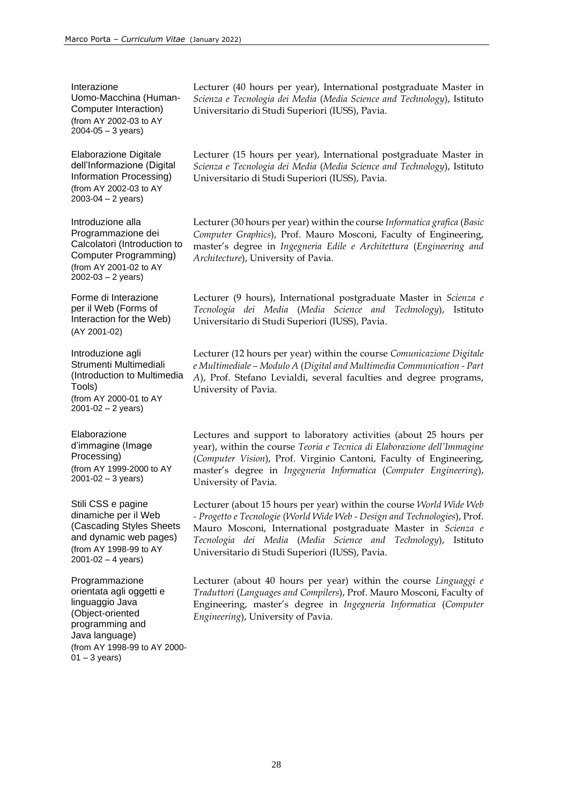Interazione Uomo-Macchina (Human-Computer Interaction) (from AY 2002-03 to AY 2004-05 – 3 years)

Elaborazione Digitale dell'Informazione (Digital Information Processing) (from AY 2002-03 to AY 2003-04 – 2 years)

Introduzione alla Programmazione dei Calcolatori (Introduction to Computer Programming) (from AY 2001-02 to AY  $2002 - 03 - 2$  years)

Forme di Interazione per il Web (Forms of Interaction for the Web) (AY 2001-02)

Introduzione agli Strumenti Multimediali (Introduction to Multimedia Tools) (from AY 2000-01 to AY  $2001 - 02 - 2$  years)

Elaborazione d'immagine (Image Processing) (from AY 1999-2000 to AY 2001-02 – 3 years)

Stili CSS e pagine dinamiche per il Web (Cascading Styles Sheets and dynamic web pages) (from AY 1998-99 to AY  $2001 - 02 - 4$  years)

Programmazione orientata agli oggetti e linguaggio Java (Object-oriented programming and Java language) (from AY 1998-99 to AY 2000-  $01 - 3$  years)

Lecturer (40 hours per year), International postgraduate Master in *Scienza e Tecnologia dei Media* (*Media Science and Technology*), Istituto Universitario di Studi Superiori (IUSS), Pavia.

Lecturer (15 hours per year), International postgraduate Master in *Scienza e Tecnologia dei Media* (*Media Science and Technology*), Istituto Universitario di Studi Superiori (IUSS), Pavia.

Lecturer (30 hours per year) within the course *Informatica grafica* (*Basic Computer Graphics*), Prof. Mauro Mosconi, Faculty of Engineering, master's degree in *Ingegneria Edile e Architettura* (*Engineering and Architecture*), University of Pavia.

Lecturer (9 hours), International postgraduate Master in *Scienza e Tecnologia dei Media* (*Media Science and Technology*), Istituto Universitario di Studi Superiori (IUSS), Pavia.

Lecturer (12 hours per year) within the course *Comunicazione Digitale e Multimediale – Modulo A* (*Digital and Multimedia Communication - Part A*), Prof. Stefano Levialdi, several faculties and degree programs, University of Pavia.

Lectures and support to laboratory activities (about 25 hours per year), within the course *Teoria e Tecnica di Elaborazione dell'Immagine* (*Computer Vision*), Prof. Virginio Cantoni, Faculty of Engineering, master's degree in *Ingegneria Informatica* (*Computer Engineering*), University of Pavia.

Lecturer (about 15 hours per year) within the course *World Wide Web - Progetto e Tecnologie* (*World Wide Web - Design and Technologies*), Prof. Mauro Mosconi, International postgraduate Master in *Scienza e Tecnologia dei Media* (*Media Science and Technology*), Istituto Universitario di Studi Superiori (IUSS), Pavia.

Lecturer (about 40 hours per year) within the course *Linguaggi e Traduttori* (*Languages and Compilers*), Prof. Mauro Mosconi, Faculty of Engineering, master's degree in *Ingegneria Informatica* (*Computer Engineering*), University of Pavia.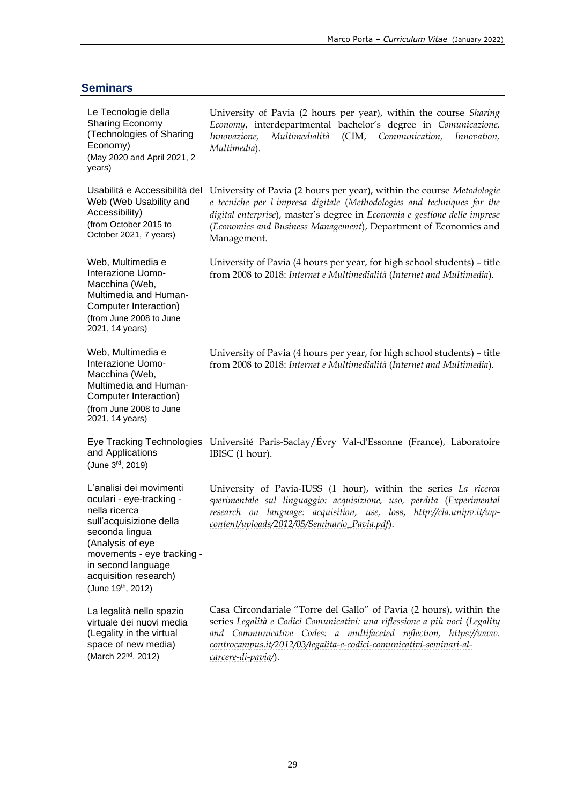## **Seminars**

| Le Tecnologie della<br><b>Sharing Economy</b><br>(Technologies of Sharing<br>Economy)<br>(May 2020 and April 2021, 2<br>years)                                                                                                          | University of Pavia (2 hours per year), within the course Sharing<br>Economy, interdepartmental bachelor's degree in Comunicazione,<br>Innovazione,<br>Multimedialità<br>(CIM,<br>Communication,<br>Innovation,<br>Multimedia).                                                                                      |
|-----------------------------------------------------------------------------------------------------------------------------------------------------------------------------------------------------------------------------------------|----------------------------------------------------------------------------------------------------------------------------------------------------------------------------------------------------------------------------------------------------------------------------------------------------------------------|
| Usabilità e Accessibilità del<br>Web (Web Usability and<br>Accessibility)<br>(from October 2015 to<br>October 2021, 7 years)                                                                                                            | University of Pavia (2 hours per year), within the course Metodologie<br>e tecniche per l'impresa digitale (Methodologies and techniques for the<br>digital enterprise), master's degree in Economia e gestione delle imprese<br>(Economics and Business Management), Department of Economics and<br>Management.     |
| Web, Multimedia e<br>Interazione Uomo-<br>Macchina (Web,<br>Multimedia and Human-<br>Computer Interaction)<br>(from June 2008 to June<br>2021, 14 years)                                                                                | University of Pavia (4 hours per year, for high school students) – title<br>from 2008 to 2018: Internet e Multimedialità (Internet and Multimedia).                                                                                                                                                                  |
| Web, Multimedia e<br>Interazione Uomo-<br>Macchina (Web,<br>Multimedia and Human-<br>Computer Interaction)<br>(from June 2008 to June<br>2021, 14 years)                                                                                | University of Pavia (4 hours per year, for high school students) - title<br>from 2008 to 2018: Internet e Multimedialità (Internet and Multimedia).                                                                                                                                                                  |
| and Applications<br>(June 3rd, 2019)                                                                                                                                                                                                    | Eye Tracking Technologies Université Paris-Saclay/Évry Val-d'Essonne (France), Laboratoire<br>IBISC (1 hour).                                                                                                                                                                                                        |
| L'analisi dei movimenti<br>oculari - eye-tracking -<br>nella ricerca<br>sull'acquisizione della<br>seconda lingua<br>(Analysis of eye<br>movements - eye tracking -<br>in second language<br>acquisition research)<br>(June 19th, 2012) | University of Pavia-IUSS (1 hour), within the series La ricerca<br>sperimentale sul linguaggio: acquisizione, uso, perdita (Experimental<br>research on language: acquisition, use, loss, http://cla.unipv.it/wp-<br>content/uploads/2012/05/Seminario_Pavia.pdf).                                                   |
| La legalità nello spazio<br>virtuale dei nuovi media<br>(Legality in the virtual<br>space of new media)<br>(March 22 <sup>nd</sup> , 2012)                                                                                              | Casa Circondariale "Torre del Gallo" of Pavia (2 hours), within the<br>series Legalità e Codici Comunicativi: una riflessione a più voci (Legality<br>and Communicative Codes: a multifaceted reflection, https://www.<br>controcampus.it/2012/03/legalita-e-codici-comunicativi-seminari-al-<br>carcere-di-pavia/). |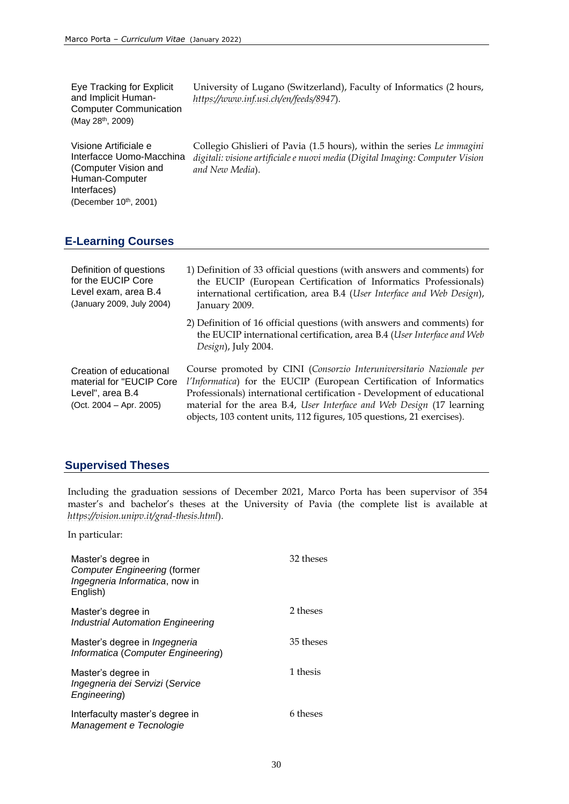| Eye Tracking for Explicit<br>and Implicit Human-<br><b>Computer Communication</b><br>(May 28 <sup>th</sup> , 2009)                  | University of Lugano (Switzerland), Faculty of Informatics (2 hours,<br>https://www.inf.usi.ch/en/feeds/8947).                                                                                                                                                                                                                                                           |
|-------------------------------------------------------------------------------------------------------------------------------------|--------------------------------------------------------------------------------------------------------------------------------------------------------------------------------------------------------------------------------------------------------------------------------------------------------------------------------------------------------------------------|
| Visione Artificiale e<br>Interfacce Uomo-Macchina<br>(Computer Vision and<br>Human-Computer<br>Interfaces)<br>(December 10th, 2001) | Collegio Ghislieri of Pavia (1.5 hours), within the series Le immagini<br>digitali: visione artificiale e nuovi media (Digital Imaging: Computer Vision<br>and New Media).                                                                                                                                                                                               |
| <b>E-Learning Courses</b>                                                                                                           |                                                                                                                                                                                                                                                                                                                                                                          |
| Definition of questions<br>for the EUCIP Core<br>Level exam, area B.4<br>(January 2009, July 2004)                                  | 1) Definition of 33 official questions (with answers and comments) for<br>the EUCIP (European Certification of Informatics Professionals)<br>international certification, area B.4 (User Interface and Web Design),<br>January 2009.                                                                                                                                     |
|                                                                                                                                     | 2) Definition of 16 official questions (with answers and comments) for<br>the EUCIP international certification, area B.4 (User Interface and Web<br>Design), July 2004.                                                                                                                                                                                                 |
| Creation of educational<br>material for "EUCIP Core<br>Level", area B.4<br>$(Oct. 2004 - Apr. 2005)$                                | Course promoted by CINI (Consorzio Interuniversitario Nazionale per<br>l'Informatica) for the EUCIP (European Certification of Informatics<br>Professionals) international certification - Development of educational<br>material for the area B.4, User Interface and Web Design (17 learning<br>objects, 103 content units, 112 figures, 105 questions, 21 exercises). |

## **Supervised Theses**

Including the graduation sessions of December 2021, Marco Porta has been supervisor of 354 master's and bachelor's theses at the University of Pavia (the complete list is available at *<https://vision.unipv.it/grad-thesis.html>*).

In particular:

| Master's degree in<br><b>Computer Engineering (former</b><br>Ingegneria Informatica, now in<br>English) | 32 theses |
|---------------------------------------------------------------------------------------------------------|-----------|
| Master's degree in<br><b>Industrial Automation Engineering</b>                                          | 2 theses  |
| Master's degree in <i>Ingegneria</i><br>Informatica (Computer Engineering)                              | 35 theses |
| Master's degree in<br>Ingegneria dei Servizi (Service<br>Engineering)                                   | 1 thesis  |
| Interfaculty master's degree in<br>Management e Tecnologie                                              | 6 theses  |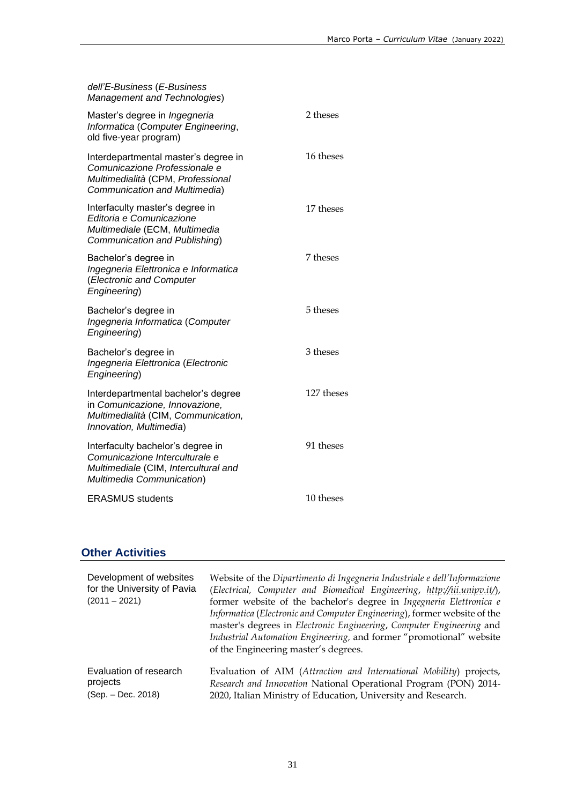| dell'E-Business (E-Business<br><b>Management and Technologies)</b>                                                                          |            |
|---------------------------------------------------------------------------------------------------------------------------------------------|------------|
| Master's degree in <i>Ingegneria</i><br>Informatica (Computer Engineering,<br>old five-year program)                                        | 2 theses   |
| Interdepartmental master's degree in<br>Comunicazione Professionale e<br>Multimedialità (CPM, Professional<br>Communication and Multimedia) | 16 theses  |
| Interfaculty master's degree in<br>Editoria e Comunicazione<br>Multimediale (ECM, Multimedia<br>Communication and Publishing)               | 17 theses  |
| Bachelor's degree in<br>Ingegneria Elettronica e Informatica<br>(Electronic and Computer<br>Engineering)                                    | 7 theses   |
| Bachelor's degree in<br>Ingegneria Informatica (Computer<br>Engineering)                                                                    | 5 theses   |
| Bachelor's degree in<br>Ingegneria Elettronica (Electronic<br>Engineering)                                                                  | 3 theses   |
| Interdepartmental bachelor's degree<br>in Comunicazione, Innovazione,<br>Multimedialità (CIM, Communication,<br>Innovation, Multimedia)     | 127 theses |
| Interfaculty bachelor's degree in<br>Comunicazione Interculturale e<br>Multimediale (CIM, Intercultural and<br>Multimedia Communication)    | 91 theses  |
| <b>ERASMUS</b> students                                                                                                                     | 10 theses  |

## **Other Activities**

| Development of websites<br>for the University of Pavia<br>$(2011 - 2021)$ | Website of the Dipartimento di Ingegneria Industriale e dell'Informazione<br>(Electrical, Computer and Biomedical Engineering, http://iii.unipv.it/),<br>former website of the bachelor's degree in Ingegneria Elettronica e<br>Informatica (Electronic and Computer Engineering), former website of the<br>master's degrees in Electronic Engineering, Computer Engineering and<br>Industrial Automation Engineering, and former "promotional" website<br>of the Engineering master's degrees. |
|---------------------------------------------------------------------------|-------------------------------------------------------------------------------------------------------------------------------------------------------------------------------------------------------------------------------------------------------------------------------------------------------------------------------------------------------------------------------------------------------------------------------------------------------------------------------------------------|
| Evaluation of research                                                    | Evaluation of AIM (Attraction and International Mobility) projects,                                                                                                                                                                                                                                                                                                                                                                                                                             |
| projects                                                                  | Research and Innovation National Operational Program (PON) 2014-                                                                                                                                                                                                                                                                                                                                                                                                                                |
| (Sep. - Dec. 2018)                                                        | 2020, Italian Ministry of Education, University and Research.                                                                                                                                                                                                                                                                                                                                                                                                                                   |